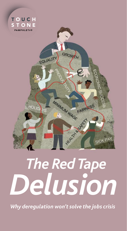

 *The Red Tape Delusion* 

MINIMALIA WAGE

Handa R. Handa

FAIRNESS

SICK PA

GROWTH

EQUALITY

HOLIDAYS

*Why deregulation won't solve the jobs crisis*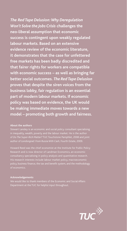*The Red Tape Delusion: Why Deregulation Won't Solve the Jobs Crisis* **challenges the neo-liberal assumption that economic success is contingent upon weakly regulated labour markets. Based on an extensive evidence review of the economic literature, it demonstrates that the case for unfettered free markets has been badly discredited and that fairer rights for workers are compatible with economic success – as well as bringing far better social outcomes.** *The Red Tape Delusion* **proves that despite the siren voices from the business lobby, fair regulation is an essential part of modern labour markets. If economic policy was based on evidence, the UK would be making immediate moves towards a new model – promoting both growth and fairness.**

#### **About the authors**

Stewart Lansley is an economic and social policy consultant specialising of *Do The Super-Rich Matter?* TUC Touchstone Pamphlet, 2008 and joint author of *Londongrad: From Russia With Cash*, Fourth Estate, 2009.

consultancy specialising in policy analysis and quantitative research. policy, business finance, the tax and benefit system, and the methodology

#### **Acknowledgements**

Department at the TUC for helpful input throughout.

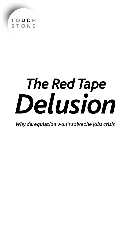

# *The Red Tape Delusion*

*Why deregulation won't solve the jobs crisis*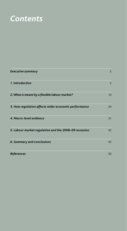# *Contents*

| <b>Executive summary</b>                              | $\overline{2}$ |
|-------------------------------------------------------|----------------|
| 1. Introduction                                       | 5              |
| 2. What is meant by a flexible labour market?         | 10             |
| 3. How regulation affects wider economic performance  | 24             |
| 4. Macro-level evidence                               | 31             |
| 5. Labour market regulation and the 2008-09 recession | 42             |
| 6. Summary and conclusions                            | 45             |
| <b>References</b>                                     | 50             |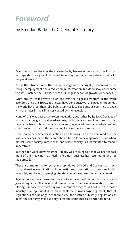# *Foreword*

### by Brendan Barber, TUC General Secretary

Over the last few decades the business lobby has never been slow to tell us that red tape destroys jobs. And by red tape they normally mean decent rights for people at work.

Before the introduction of the minimum wage and other rights, we were warned of rising unemployment and a reduction in job creation. But doomsday never came to pass – instead the UK experienced its longest period of growth for decades.

What brought that growth to an end was the biggest downturn in the world economy since the 1920s. Businesses have gone bust. Working people throughout the world have lost their jobs. Public services face deep cuts as countries struggle with the holes in their finances caused by the recession.

None of this was caused by excess regulation, but rather by its lack. Decades of business campaigns to set markets free, lift burdens on employers and cut red tape came back to bite their advocates. As unregulated financial markets ran riot, countries across the world felt the full force of the economic storm.

Now should be a time for reflection and rethinking. The economic model of the last decades has failed. The search should be on for a new approach – one where markets serve society, rather than one where society is subordinated to market imperatives.

But the siren voices have returned. Already we are being told that we need to take more of the medicine that nearly killed us – business has resumed its anti-red tape crusade.

These arguments no longer stand up. Howard Reed and Stewart Lansley's comprehensive examination of domestic and international literature in this pamphlet, and its accompanying literature review, exposes the red tape delusion.

Regulation can be an essential means to achieve both economic success and greater equality. Of course that doesn't mean that every regulation is good. Making someone with a red flag walk in front of every car did not help the motor industry develop. But it does mean that the mirror image argument, that all regulation is bad, belongs in that old cliché, the dustbin of history. Regulation can boost the economy, make society fairer and contribute to a better life for all.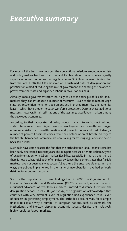# *Executive summary*

For most of the last three decades, the conventional wisdom among economists and policy makers has been that free and flexible labour markets deliver greatly superior economic outcomes than regulated ones. So influential was this view that from the late 1970s the UK embarked on a sustained path of deregulation and privatisation aimed at reducing the role of government and shifting the balance of power from the state and organised labour in favour of business.

Although Labour governments from 1997 signed up to the principle of flexible labour markets, they also introduced a number of measures – such as the minimum wage, statutory recognition rights for trade unions and improved maternity and paternity leave – which have brought greater workforce protection. Despite these additional measures, however, Britain still has one of the least regulated labour markets among the developed economies.

According to their advocates, allowing labour markets to self-correct without state interference brings higher levels of employment and growth, encourages entrepreneurialism and wealth creation and prevents boom and bust. Indeed, a number of powerful business voices from the Confederation of British Industry to the British Chamber of Commerce are now calling for existing regulations to be cut back still further.

Such calls have come despite the fact that the orthodox free labour market case has been badly discredited in recent years. This is in part because after more than 20 years of experimentation with labour market flexibility, especially in the UK and the US, there is now a substantial body of empirical evidence that demonstrates that flexible markets have not been nearly as successful as their adherents have claimed. In many ways, the policies implemented in the name of neo-liberalism have had seriously detrimental economic outcomes.

Such is the importance of these findings that in 2006 the Organisation for Economic Co-operation and Development (OECD) – formerly one of the most influential advocates of freer labour markets – moved to distance itself from the deregulation school. In its 2006 *Jobs Study*, the organisation acknowledged that countries with very different levels of regulation had experienced equal levels of success in generating employment. The orthodox account was, for example, unable to explain why a number of European nations, such as Denmark, the Netherlands and Norway, displayed economic success despite their relatively highly regulated labour markets.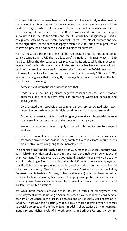The prescriptions of the neo-liberal school have also been seriously undermined by the economic crisis of the last two years. Indeed the neo-liberal advocates of free markets – a group which still dominates the international economics profession – have long argued that the recession of 2008-09 was an event that could not happen in countries like the United States and the UK which have religiously pursued a deregulated path. As the American economist Robert Lucas, Nobel Laureate and one of the high priests of the new philosophy, declared in 2003, 'the central problem of depression-prevention has been solved, for all practical purposes.'

For the most part the prescriptions of the neo-liberal school do not stand up to detailed scrutiny. In the UK, the introduction of the national minimum wage in 1999 failed to deliver the dire consequences predicted by its critics while the modest reregulation of the British labour market in the last decade has been achieved without detriment to employment creation. Indeed, the impact of the 2008-9 recession on UK unemployment – which has risen by much less than in the early 1980s and 1990s recessions – suggests that the slightly more regulated labour market of the last decade has been working well.

The domestic and international evidence is also that:

- Trade unions have no significant negative consequences for labour market outcomes, and have positive effects in promoting workplace cohesion and social justice.
- Co-ordinated and responsible bargaining systems are associated with lower unemployment while under the right conditions social corporatism works.
- Active labour market policies, if well designed, can make a substantial difference to the employment prospects of the long-term unemployed.
- In-work benefits boost labour supply while redistributing income to low-paid workers.
- Generous unemployment benefits of limited duration (with ongoing social assistance provided for those in need) combined with job search requirements are effective in reducing long term unemployment.

The 'one size fits all' model simply doesn't work. A number of European countries have both highly interventionist policies and a strong record on employment generation and unemployment. The evidence is that two quite distinctive models work particularly well. First, the Anglo-Saxon model (including the UK) with its lower unemployment benefits, light touch employment protection, weaker trade unions and more limited collective bargaining. Secondly, the Scandinavian/flexicurity model (including Denmark, the Netherlands, Norway, Finland and Sweden) which is characterised by strong collective bargaining, high levels of employment protection and generous unemployment benefits accompanied by stringent job-search requirements and available for limited durations.

Yet while both models achieve similar results in terms of employment and unemployment rates, some Anglo-Saxon countries have experienced considerable economic turbulence in the last two decades and an especially deep recession in 2008–09. Moreover, the flexicurity model is much more successful when it comes to social outcomes and the Anglo-Saxon model is characterised by high earnings inequality and higher levels of in-work poverty. In both the US and the UK, for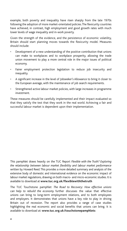example, both poverty and inequality have risen sharply from the late 1970s following the adoption of more market-orientated policies. The flexicurity countries have achieved, in contrast, high employment and good growth rates with much lower levels of wage inequality and in-work poverty.

Given the strength of the evidence, and the persistence of economic volatility, Britain should start planning moves towards the flexicurity model. Measures should include:

- Development of a new understanding of the positive contribution that unions can make to workplaces and to workplace prosperity, allowing the trade union movement to play a more central role in the major issues of political economy.
- Fairer employment protection legislation to reduce job insecurity and inequality.
- A significant increase in the level of Jobseeker's Allowance to bring it closer to the European average, with the maintenance of job search requirements.
- Strengthened active labour market policies, with large increases in programme investment.

These measures should be carefully implemented and their impact evaluated so that they satisfy the test that they work in the real world. Achieving a fair and successful labour market is dependent upon their implementation.

This pamphlet draws heavily on the TUC Report *Flexible with the Truth? Exploring the relationship between labour market flexibility and labour market performance* written by Howard Reed. This provides a more detailed summary and analysis of the extensive body of domestic and international evidence on the economic impact of labour market regulations, drawing on both macro- and micro-economic studies. It is available to download at **www.tuc.org.uk/flexiblewiththetruth**

The TUC Touchstone pamphlet *The Road to Recovery: How effective unions can help to rebuild the economy* further discusses the value that effective unions can bring to long-term employment relations, and to both employees and employers. It demonstrates that unions have a key role to play in driving Britain out of recession. The report also provides a range of case studies highlighting the real economic and social benefits that unions can bring. It is available to download at: **www.tuc.org.uk/touchstonepamphlets**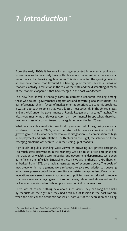# *1. Introduction\**

From the early 1980s it became increasingly accepted in academic, policy and business circles that relatively free and flexible labour markets offer better economic performance than heavily regulated ones. This view reflected the growing belief in an economic model that favoured the freeing up of markets across all areas of economic activity, a reduction in the role of the state and the dismantling of much of the economic apparatus that had emerged in the post-war decades.

This new 'neo-liberal' orthodoxy came to dominate economic thinking among those who count – governments, corporations and powerful global institutions – as part of a general shift in favour of market-oriented solutions to economic problems. It was an approach to policy that was adopted most stridently in the United States and in the UK under the governments of Ronald Reagan and Margaret Thatcher. The ideas were mostly much slower to catch on in continental Europe where there has been much less of a commitment to deregulation over the last 25 years.

What became a clear Anglo-Saxon orthodoxy emerged out of the growing economic problems of the early 1970s, when the return of turbulence combined with low growth gave rise to what became known as 'stagflation' – a combination of high unemployment and high inflation. For thinkers on the Right, the solution to these emerging problems was seen to lie in the freeing up of markets.

High levels of public spending were viewed as 'crowding out' private enterprise. Too much state intervention in the economy was said to stifle free enterprise and the creation of wealth. State industries and government departments were seen as inefficient and inflexible. Embracing these views with enthusiasm, Mrs Thatcher embarked, from 1979, on a radical restructuring of economic policy. The goals of macro-economic management were refocused to give top priority to squeezing inflationary pressure out of the system. State industries were privatised. Government regulations were swept away. A succession of policies were introduced to reduce what were seen as damaging restrictions on the way labour markets worked and to tackle what was viewed as Britain's poor record on industrial relations.

There was of course nothing new about such views. They had long been held by theorists on the right, but they had been out of fashion in the post-war era when the political and economic consensus, born out of the depression and rising

<sup>\*</sup> For more detail see Howard Reed, *Flexible with the Truth?* London: TUC, 2010, Introduction.

Available to download at **www.tuc.org.uk/flexiblewiththetruth**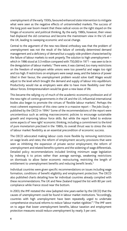unemployment of the early 1930s, favoured enhanced state intervention to mitigate what were seen as the negative effects of untrammelled markets. The success of the long post-war boom meant that these radical voices on the right stayed on the fringes of economic and political thinking. By the early 1980s, however, their views had displaced the old consensus and become the mainstream view in the US and the UK, leading to sweeping economic and social change.

Central to the argument of the new neo-liberal orthodoxy was that the problem of unemployment was not the result of the failure of centrally determined demand management and a deficiency of demand but a supply-side problem characterised by the failure of labour markets to work properly. The solution to high unemployment – which in 1986 stood at 3.3 million compared with 750,000 in 1971 – was seen to lie in the deregulation of labour markets.<sup>1</sup> There were, it was claimed, too many restrictions on the freedom of employers while unions were too powerful and wages too rigid and too high. If restrictions on employers were swept away, and the balance of power tilted in their favour, the unemployment problem would solve itself. Wages would adjust to the level which brought the demand and supply of labour into equilibrium. Productivity would rise as employers were able to have more flexibility over their labour forces. Entrepreneurialism would be given a new lease of life.

This became the rallying cry of much of the academic economics profession and of the new right-of-centre governments in the UK and the US. Influential international bodies also began to promote the virtues of 'flexible labour markets'. Perhaps the most coherent expression of this view came in a massive report – *The Jobs Study* – published by the OECD in 1994.<sup>2</sup> Some of the recommendations of the report were uncontentious such as setting macroeconomic policies to encourage sustainable growth and improving labour force skills. But while the report failed to endorse some aspects of 'new right' economic thinking, including a commitment to the kind of pure monetarism practised in the 1980s, its overall thrust was to stress the role of labour market flexibility as an essential precondition of economic success.

The OECD advocated making labour costs more flexible by removing restrictions on wage levels and rates; the reform of employment security provisions that were seen as inhibiting the expansion of private sector employment; the reform of unemployment and related benefits systems and the widening of wage differentials. Detailed policy recommendations included limiting minimum wage legislation by indexing it to prices rather than average earnings, weakening restrictions on dismissals to allow faster economic restructuring, restricting the length of entitlement to unemployment benefits and reducing benefit levels.<sup>3</sup>

Individual countries were given specific recommendations on issues including wage formation, conditions of benefit eligibility and employment protection. The OECD also published charts detailing how far individual countries already complied with these recommendations. The UK and New Zealand topped the list with 80 per cent compliance while France stood near the bottom.

In 2003, the IMF restated the view (adopted nine years earlier by the OECD) that the causes of unemployment could be found in labour market institutions. "Accordingly, countries with high unemployment have been repeatedly urged to undertake comprehensive structural reforms to reduce 'labour market rigidities'".4 The IMF went on to argue that lower unemployment benefits, labour taxation and employment protection measures would reduce unemployment by nearly 3 per cent.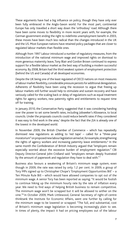These arguments have had a big influence on policy, though they have only ever been fully embraced in the Anglo-Saxon world. For the most part, continental Europe has only travelled a short way down the 'orthodoxy' road. Although there have been some moves to flexibility in more recent years with, for example, the German government ending the right to indefinite unemployment benefit in 2003, these moves have been much less radical than the changes introduced in the UK and the US. Most European nations have retained policy packages that are closer to regulated labour markets than flexible ones.

Although from 1997 Labour introduced a number of regulatory measures, from the introduction of the national minimum wage and improved rights on dismissal to more generous maternity leave, Tony Blair and Gordon Brown continued to express support for a flexible labour market as the best way of building a modern successful economy. By 2008, Britain had the third weakest system of employment protection (behind the US and Canada) of all developed economies.

Despite the UK being one of the least regulated of OECD nations on most measures of labour market flexibility, considerable pressure persists for additional deregulation. Adherents of flexibility have been using the recession to argue that freeing up labour markets still further would help to stimulate and sustain recovery and have variously called for the scaling back or delay of regulations such as equal treatment rights for agency workers, new paternity rights and entitlements to request time off for training.

In January 2010, the Conservative Party suggested that it was considering handing over the power to set some benefit rates, including Jobseeker's Allowance, to local councils. Under the proposals councils could reduce benefit rates if they considered it was easy to find work in the area,<sup>5</sup> despite the fact that the JSA is already one of the lowest in the developed world.

In November 2009, the British Chamber of Commerce – which has repeatedly dismissed new regulations as adding to 'red tape' – called for a "three-year moratorium" on proposed new labour legislation aimed at, for example, strengthening the rights of agency workers and increasing paternity leave entitlements.<sup>6</sup> In the same month the Confederation of British Industry argued that "employers remain especially worried about the excessive burden of employment regulation." CBI Deputy Director-General John Cridland said: "employers remain deeply frustrated by the amount of paperwork and regulation they have to deal with."<sup>7</sup>

Business also favours a weakening of Britain's minimum wage system, even though in 2009, the rate was raised by only 1.2 per cent. In 2009, a group of Tory MPs signed up to Christopher Chope's 'Employment Opportunities Bill' – a Ten Minute Rule Bill – which would have allowed companies to opt out of the minimum wage. A senior Tory has been reported as saying: "It would be foolish to continue hiking up the minimum hourly rate by the rate of inflation every year. We need to find ways of helping British business to remain competitive. The minimum wage won't be scrapped but it will be allowed to wither on the vine."8 In October 2009, Mark Littlewood, General Secretary of right-of-centre thinktank the Institute for Economic Affairs, went one further by calling for the minimum wage to be lowered or scrapped. "The full, and substantial, cost of Britain's minimum wage legislation is becoming increasingly plain to see. In times of plenty, the impact it had on pricing employees out of the labour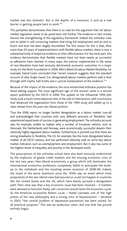market was less dramatic. But in the depths of a recession, it acts as a real barrier in getting people back to work."9

This pamphlet demonstrates that there is no case for the argument that UK labour market regulation needs to be pared back still further. The evidence in fact mostly favours the strengthening of the regulatory framework. Indeed the orthodox view and its belief in self-correcting markets that bring full employment and an end to boom and bust has been largely discredited. The first reason for this is that, after more than 20 years of experimentation with flexible labour markets, there is now a substantial body of empirical evidence on their effectiveness. For the most part, this evidence demonstrates that flexible markets have not been nearly as successful as adherents have claimed. In many ways, the policies implemented in the name of neo-liberalism have had seriously detrimental economic outcomes. In a major study for the Work Foundation in 2006, *Who's Afraid of Labour Market Flexibility*, for example, David Coats concluded that "recent research suggests that the standard account of why 'Anglo-Saxon' [i.e. deregulated] labour markets perform well is shot through with myths, half-truths and a cynical manipulation of the evidence."<sup>10</sup>

Because of the impact of the evidence, the once entrenched orthodox position has faced ebbing support. The most significant sign of this erosion came in a second report published by the OECD in 2006. This update on the influential 1994 *Jobs Study* took a much more balanced view of the role of intervention, with conclusions that distanced the organisation from those of the 1994 study and added up to a clear retreat from the pure neo-liberal position.

Thus the 2006 report no longer backed deregulation as a labour market cure-all and acknowledged that countries with very different amounts of 'flexibility' had experienced equal levels of success in generating employment. The orthodox account was, for example, unable to explain why a number of European nations, such as Denmark, the Netherlands and Norway, were economically successful despite their relatively highly regulated labour markets. Furthermore, it pointed out that there are strong drawbacks to flexibility. The US, for example, has the most deregulated labour market of all OECD nations, and has performed relatively well on some key labour market indicators such as unemployment and employment. But it also has some of the highest levels of inequality and poverty in the developed world.

The prescriptions of the orthodox school have also been seriously undermined by the implosion of global credit markets and the ensuing economic crisis of the last two years. Neo-liberal economists, a group which still dominates the international economics profession, completely failed to anticipate the buildup to the meltdown and the resulting severe recession of 2008-09. Indeed, the onset of the worst downturn since the 1930s was an event which most proponents of the neo-liberal view had assured us could not happen in countries like the United States and the UK, which have keenly pursued a deregulated path. Their view was that a key economic issue had been resolved – if markets were allowed to function freely, self-correction would tame the economic cycle. As the American economist Robert Lucas – Nobel Laureate, one of the high priests of the new philosophy and a strong critic of Keynesianism – declared in 2003, "the central problem of depression-prevention has been solved, for all practical purposes." This was an audacious claim, and one that has proved entirely bogus.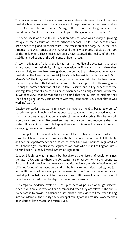The only economists to have foreseen the impending crisis were critics of the freemarket school, a group from the radical wing of the profession such as the Australian Steve Keen and the late Hyman Minsky, both of whom had long predicted the 'credit crunch' and the resulting near-collapse of the global financial system.11

The seriousness of the 2008–09 recession adds to what was already a growing critique of the prescriptions of the orthodox school. The last two decades have seen a series of global financial crises – the recession of the early 1990s, the Latin American and Asian crises of the 1990s and the new economy bubble at the turn of the millennium. These successive crises have exposed the reality of the selfstabilising predictions of the adherents of free markets.

A key implication of this failure is that as the neo-liberal advocates have been wrong about the desirability of 'light regulation' in financial markets, then they are also likely to have been wrong about the desirability of deregulation in labour markets. As the American columnist John Cassidy has written in his new book, *How Markets Fail*, the long-held belief among modern economists that the free market is inherently stable – that it will self-correct – has been proved badly wrong. Alan Greenspan, former chairman of the Federal Reserve, and a key adherent of the self-regulating school, admitted as much when he told a Congressional Committee in October 2008 that he was shocked to find that the system of markets that "had been going for 40 years or more with very considerable evidence that it was working" wasn't.

Cassidy concludes that we need a new framework of 'reality-based economics' based on empirical analysis of what policies actually work best in practice, rather than the dogmatic application of abstract theoretical models. This framework would take sentiments like greed and fear into account and recognise that the state still has an important role to play if we are to minimise the destabilising and damaging tendencies of markets.

This pamphlet takes a reality-based view of the relative merits of flexible and regulated labour markets. It examines the link between labour market flexibility and economic performance and asks whether the UK is over- or under-regulated, or has it about right. It looks at the arguments of those who are still calling for Britain to rein back its already limited system of regulation.

Section 2 looks at what is meant by flexibility, at the history of regulation since the late 1970s and at where the UK stands in comparison with other countries. Sections 3 and 4 review the extensive empirical evidence on the effectiveness of different forms of intervention based on both macro and micro studies, not just in the UK but in other developed economies. Section 5 looks at whether labour market policies help account for the lower rise in UK unemployment than would have been expected from the depth of the recent recession.

The empirical evidence explored is as up-to-date as possible although selected older studies are also reviewed and summarised when they are relevant. The aim in every case is to provide a balanced assessment of the evidence base while taking into consideration the quality and wider applicability of the empirical work that has been done at both macro and micro levels.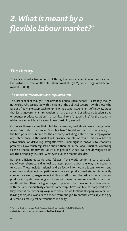# *2. What is meant by a flexible labour market? \**

## *The theory*

There are broadly two schools of thought among academic economists about the virtues of free or flexible labour markets (FLM) versus regulated labour markets (RLM).

#### *The orthodox 'free market', anti-regulation view*

The first school of thought – the orthodox or neo-liberal school – is broadly, though not exclusively, associated with the right of the political spectrum, with those who favour a free market approach to running the economy. Adherents of this view argue that just as government intervention to manage demand or effect production is bad or counter-productive, labour market flexibility is 'a good thing' for the economy while policies which reduce employers' flexibility are bad.

Orthodox thinkers argue that if left to themselves, markets will work through what Adam Smith described as an 'invisible hand' to deliver maximum efficiency, or the best possible outcome for the economy including a state of full employment: any interference in the market will produce an inferior result. This view has the convenience of delivering straightforward, unambiguous answers to economic problems. How much regulation should there be in the labour market? According to the orthodox framework, 'as little as possible'. What level should wages be set at? The orthodoxy tells us: 'Whatever level the market decides.'

But this efficient outcome only follows if the world conforms to a particular set of very abstract and unrealistic assumptions about the way the economy functions. These include rational and perfectly informed producers, workers and consumers and perfect competition in labour and product markets. In this perfectly competitive world, wages reflect skills and effort and the value of what workers produce. Competition among employers will mean that workers paid less than their worth will be offered a higher wage to prevent them leaving. Any two workers with the same productivity earn the same wage; firms can hire as many workers as they want at the prevailing wage rate; there are no frictions stopping workers from leaving their jobs; workers can move from one job to another costlessly; and pay differentials merely reflect variations in ability.

<sup>\*</sup> For more detail see Howard Reed, *Flexible with the Truth?* London: TUC, 2010, Chapter 3.

Available to download at **www.tuc.org.uk/flexiblewiththetruth**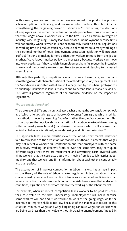In this world, welfare and production are maximised, the production process achieves optimum efficiency; and measures which reduce this flexibility by strengthening the bargaining power of labour and/or restricting the decisions of employers will be either ineffectual or counterproductive. Thus interventions that take wages above a worker's value to the firm – such as minimum wages or industry-wide bargaining – simply lead to increased unemployment because firms will not employ workers when it is not economically viable to do so. Regulations on working time will reduce efficiency because all workers are already working at their optimal number of hours. Employment protection legislation will introduce artificial frictions by making it more difficult for workers to move from one job to another. Active labour market policy is unnecessary because workers can move into work costlessly if they so wish. Unemployment benefits reduce the incentive to work and hence make workers less likely to enter work, leading to increased unemployment.

Although this perfectly competitive scenario is an extreme case, and perhaps something of a crude characterisation of the orthodox position, the arguments and the 'worldview' associated with it are still widely used by neo-liberal protagonists to challenge incursions in labour markets and to defend labour market flexibility. This view is promoted regardless of the empirical evidence on the impact of regulations.

### *The pro-regulation school*

There are several different theoretical approaches among the pro-regulation school, all of which offer a challenge to orthodoxy. One comes from a group which modifies the orthodox model by assuming *imperfect* rather than *perfect* competition. This school opposes the neo-liberal characterisation of the labour market while remaining within a broadly neo-classical (mainstream) framework which still assumes that individual behaviour is rational, forward-looking, and utility-maximising.<sup>12</sup>

This approach takes a more realistic view of the world – that market behaviour fails to correspond to the predictions of economic textbooks. It accepts that wages may not reflect a worker's full contribution and that employees with the same productivity working for different firms, or even the same firm, may earn quite different wages; that there are recruitment and advertising costs involved with hiring workers; that the costs associated with moving from job to job restrict labour mobility; and that workers' and firms' information about each other is considerably less than perfect.

The assumption of imperfect competition in labour markets has a huge impact on the theory of the rule of labour market regulation. Indeed, a labour market characterised by imperfect competition introduces a number of inefficiencies that require correction by intervention. Economic theorists have shown that under such conditions, regulation can therefore *improve* the working of the labour market.

For example, when imperfect competition leads workers to be paid less than their true value to the firm, unnecessary unemployment will occur because some workers will not find it worthwhile to work at the going wage, while the incentive to improve skills is too low because of the inadequate return. In this situation, minimum wages and wage bargaining can raise wages for workers who are being paid less than their value without increasing unemployment (indeed, in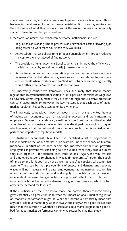some cases they may actually *increase* employment over a certain range). This is because in the absence of minimum wage legislation firms can pay workers less than the value of what they produce *without* the worker finding it economically viable to leave for another job elsewhere

Other forms of intervention which can overcome inefficiencies include:

- Regulations on working time to prevent workers who face costs of leaving a job being forced to work more hours than they would like.
- Active labour market policies to help reduce unemployment through reducing the cost to the unemployed of finding work.
- The provision of unemployment benefits which can improve the efficiency of the labour market by subsidising costly job-search activity.
- Active trade unions, formal consultation procedures and effective workplace representation to help deal with grievances and issues relating to workplace environments where workers who are 'tied into' jobs because moving is costly would rather exercise 'voice' than 'exit' mechanisms.13

The imperfectly competitive framework does *not* imply that labour market regulation is *always* beneficial; for example, it is still possible for minimum wage laws to adversely affect employment if they are set too high and excessive protection can stifle labour mobility. However, the key message is that each piece of labour market regulation has to be assessed on its own merits.

The imperfectly competitive model of labour markets retains the key features of mainstream economics such as rational employees and profit-maximising employers. Because it is a relatively small departure from the neo-liberal model, a number of non-mainstream economists have developed more radical critiques, which recognise that the real world is much more complex than is implied in both perfect and imperfect competitive models.

The Australian economist Steve Keen has identified a list of objections to these models of the labour market.<sup>14</sup> For example, under the theory of 'bilateral monopoly', in situations of both perfect and imperfect competition, powerful employers can prevent workers being paid the value of what they produce unless they also organise – for example, into trade unions.<sup>15</sup> Again, the way workers and employers respond to changes in wages (in economists' jargon, the supply of and demand for labour) are not as 'well-behaved' as neoclassical economists assume. There can be multiple equilibria of supply and demand and reducing wages will not necessarily increase employment (as mainstream economists would argue). In addition, demand and supply in the labour market are not independent because changes in labour supply will affect the distribution of income, which itself affects the demand for goods and services, which in turn affects the demand for labour.16

If these criticisms of the neoclassical model are correct, then economic theory gives essentially *no* prediction as to what the impact of labour market regulation on economic performance might be. While this doesn't automatically mean that any specific labour market regulation is always and everywhere a good idea, it does mean that the question of whether a particular labour market regulation is good or bad for labour market performance can only be settled by empirical study.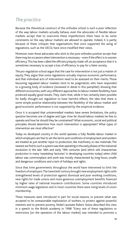# *The practice*

Because the theoretical construct of the orthodox school is such a poor reflection of the way labour markets actually behave, even the advocates of flexible labour markets accept that to overcome these imperfections there have to be some constraints on the way labour markets are allowed to operate. Indeed, it is partly because of these critiques that organisations that once supported the axing of regulations, such as the OECD, have since modified their views.

Moreover, even those advocates who stick to the pure orthodox position accept that there may be occasions when intervention is necessary – even if the effect is to worsen efficiency. This has been called the efficiency/equity trade-off, an acceptance that it is sometimes necessary to accept a loss of efficiency to pay for a fairer society.

The pro-regulation school argue that the case for intervention is not just a matter of equity. They argue that some regulations actually improve economic performance, and that individual acts of intervention need to be assessed on their merits. Those favouring regulated labour markets tend to be pragmatists who have responded to a growing body of evidence (reviewed in detail in this pamphlet) showing that different economies, with very different approaches to labour market flexibility, have produced equally good results. They claim that, while it has certainly been possible for badly thought-out regulation to have harmful effects, the idea that there is some simple positive relationship between the flexibility of the labour market and good economic performance is not supported by the empirical evidence.

Once it is accepted that untrammelled markets have severe limitations, the policy question becomes one of degree and type. How far should labour markets be free to operate and how far should they be constrained? What economic, social and political principles should determine how much intervention is appropriate? What types of intervention are most effective?

Today no developed country in the world operates a fully flexible labour market in which employers are free to set the terms and conditions of employment and workers are treated as just another input to production, like machinery or raw materials. The nearest we find to such a system was that operating in the early phases of the industrial revolution in the late 18th and early 19th centuries (and which still characterises production in many 'sweatshop factories' in developing countries today) when child labour was commonplace and work was mostly characterised by long hours, unsafe and dangerous conditions and a lack of holidays and rights.

Since that time governments throughout the world have intervened to limit the freedom of employers. The twentieth century brought new employment rights with strengthened levels of protection against dismissal and poor working conditions, new rights for trade unions and more generous unemployment benefits financed by higher rates of national insurance contributions. Some countries introduced minimum wage legislation and in most countries there were rising levels of union membership.

These measures were introduced in part for social reasons, to prevent what was accepted to be unreasonable exploitation of workers, to protect against powerful interests and to prevent poverty. Nobel Laureate Robert Solow described this view in a speech to the British academy in 1998: "Every one of these regulations or restrictions [on the operation of the labour market] was intended to promote a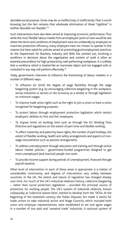desirable social purpose. Some may do so ineffectively or inefficiently. That is worth knowing; but the fact remains that wholesale elimination of these "rigidities" is neither desirable nor feasible."17

Such interventions have also been aimed at improving economic performance. Thus while the most 'flexible' labour market from an employers' point of view would be one where the terms and conditions of employment were set unilaterally by employers to maximise production efficiency, many employers have not chosen to operate in this manner but have opted for policies aimed at promoting good employment practices. As the Department for Business, Industry and Skills has pointed out, involving a workforce in decisions about the organisation and content of work is often an essential precondition for high-productivity, well-performing workplaces. It is unlikely that a workforce which is treated like an inanimate object and not engaged with or consulted in any way will perform effectively.18

Today governments intervene to influence the functioning of labour markets in a number of different ways:

- To influence (or limit) the degree of wage flexibility through the wage bargaining system (e.g. by encouraging collective bargaining in the workplace, across industries or sectors or the economy as a whole) or through legislation on minimum wages.
- To improve trade union rights such as the right to join a union or have a union recognised for bargaining purposes.
- To protect labour through employment protection legislation which restrict employers' abilities to 'hire and fire' employees.
- To impose limits on working time such as through the EU Working Time Directive and regulations on the extent of part-time and flexible working.
- To affect maternity and paternity leave rights, the number of paid holidays, the extent of flexible working, health and safety arrangements and aspects of nonwage remuneration such as pension arrangements.
- To address unemployment through education and training and through active labour market policies – government-funded programmes designed to get more unemployed (and inactive) people into work.
- To provide income support during periods of unemployment, financed through payroll taxation.

What level of intervention in each of these areas is appropriate is a matter of considerable controversy, and degrees of intervention vary widely between countries. In the UK, the extent and nature of regulation has changed sharply over time. For much of the UK's industrial relations history, collective bargaining – rather than social protection legislation – provided the principal source of protection for working people. The UK's system of industrial relations, known colloquially as 'collective laissez-faire', started to develop from the 1870s. At the beginning of the twentieth century the Trades Disputes Act made it lawful for trade unions to take industrial action and Wage Councils, which included both union and employer representatives, were established to set and agree wages in a number of low paid and 'sweated trade' industries. A national system of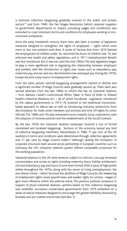a national collective bargaining gradually evolved in the public and private sectors<sup>19</sup> and from 1940, the Fair Wages Resolution (which required suppliers to government departments to respect prevailing wages and conditions) was extended to cover minimum terms and conditions for employees working in nonunionised workplaces.

Since the early nineteenth century, there have also been a number of legislative measures designed to strengthen the rights of employees – rights which were more or less non-existent until then. A series of Factory Acts from 1819 banned the employment of children under 10, restricted the hours of children over 10, and enforced new health and safety regulations, and in 1911 Unemployment Benefit was first introduced. But it was not until the mid-1960s/70s that legislation began to play a more significant role in regulating the relationship between employers and workers, with the introduction of rights over issues such as redundancy pay, maternity pay, and sex and race discrimination law and equal pay. During the 1970s, Europe became a key source of employment rights.

Over the same period, national bargaining arrangements started to decline and a significant number of Wage Councils were gradually wound up. There were also several attempts from the late 1960s to reform the law on industrial relations – from Barbara Castle's controversial White Paper *In Place of Strife* to Edward Heath's Industrial Relations Act – all of which foundered. Legislation introduced by the Labour governments in 1974–76 reverted to the traditional immunitiesbased approach to labour law as well as introducing statutory protections from discrimination for trade union members and activists and time off rights for union officials. The 1960s and 70s also witnessed moves towards social corporatism, with the adoption of incomes policies and the establishment of the Social Contract.

By the late 1970s the industrial relations landscape involved a mix of formal centralised and localised bargaining. Sections of the economy lacked any kind of collective bargaining machinery. Nevertheless in 1980, 71 per cent of the UK workforce's terms and conditions were determined through collective agreements and 11 per cent by Wage Council orders.<sup>20</sup> Although lacking the formalism of corporate structures built around social partnership in European countries such as Germany, the UK's industrial relations system offered comparable protection for the working population.

Industrial relations in the UK were however subject to criticism. Low pay remained commonplace and access to rights including maternity leave, holiday entitlement, sick and redundancy pay and hours of work were limited. With a wave of high profile strikes throughout the 1970s, along with the return of rising unemployment, the neo-liberal school – which favoured the abolition of Wage Councils, the weakening of employment rights, lower payroll taxes and weaker rights for unions – began to gain more influence within the political arena. The previous political consensus in support of plural industrial relations systems based on free collective bargaining was unsettled. Successive Conservative governments from 1979 embarked on a series of radical measures designed to encourage the greater flexibility favoured by business and pro-market economists (see Box 1).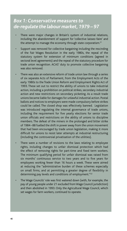### *Box 1: Conservative measures to de-regulate the labour market, 1979 – 97*

- There were major changes in Britain's system of industrial relations, including the abandonment of support for 'collective laissez-faire' and the attempt to manage the economy through state corporatism.<sup>21</sup>
- Support was removed for collective bargaining including the rescinding of the Fair Wages Resolution in the early 1980s, the repeal of the statutory system for extension of minimum conditions (agreed in sectoral level agreements) and the repeal of the statutory procedure for trade union recognition. ACAS' duty to promote collective bargaining was also removed.
- There was also an extensive reform of trade union law through a series of six separate Acts of Parliament, from the Employment Acts of the early 1980s to the Trade Union Reform and Employment Rights Act of 1993. These set out to restrict the ability of unions to take industrial action, including a prohibition on political strikes, secondary industrial action and new restrictions on secondary picketing. As a result trade unions became liable for damages for unlawful industrial action. Postal ballots and notices to employers were made compulsory before strikes could be called. The closed shop was effectively banned. Legislation was introduced regulating the internal governance of trade unions, including the requirement for five yearly elections for senior trade union officials and restrictions on the ability of unions to discipline members. The defeat of the miners in the prolonged and bitter strike of 1984–88 fuelled the shift in power away from the union movement that had been encouraged by trade union legislation, making it more difficult for unions to resist later attempts at industrial restructuring (including the controversial privatisation of the utilities).
- There were a number of revisions to the laws relating to employee rights, including changes to unfair dismissal protection which had the effect of removing rights for part-time and fixed term workers. The minimum qualifying period for unfair dismissal was raised from six months' continuous service to two years and to five years for employees working fewer than 16 hours a week. These were aimed at reducing the "administrative burden of these schemes especially on small firms, and at permitting a greater degree of flexibility in determining pay levels and conditions of employment."<sup>22</sup>
- The Wage Councils' role was first watered down (with, for example, the pay of young people under 21 excluded from Wage Council jurisdiction) and then abolished in 1993. Only the Agricultural Wage Council, which set wages for farm workers, continued to operate.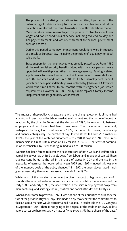- The process of privatising the nationalised utilities, together with the outsourcing of public sector jobs in areas such as cleaning and refuse collection, reinforced the trend towards a more flexible labour market. Many workers were re-employed by private contractors on lower wages and poorer conditions of service including reduced holiday and sick pay entitlements and loss of entitlement to the local government pension scheme.
- During this period some new employment regulations were introduced as a result of European law including the principle of 'equal pay for equal value work'.
- State support for the unemployed was steadily scaled back. From 1980 all the main social security benefits (along with the state pension) were upgraded in line with prices rather than average earnings. Earnings-related supplements to unemployment (and sickness) benefits were abolished in 1982 and child additions in 1984. In 1996, Unemployment Benefit (which had been paid indefinitely) was replaced by Jobseeker's Allowance which was time-limited to six months with strengthened job-search requirements. However, in 1988 Family Credit replaced Family Income Supplement and its generosity was increased.

The impact of these policy changes, along with the changing economic climate, had a profound impact upon the labour market environment and the nature of industrial relations. By the time the Tories lost the election of 1997, the relationship between employers and employees had been transformed. The trade union movement, perhaps at the height of its influence in 1979, had found its powers, membership and finance ebbing away. The number of days lost to strikes fell from 29.5 million in 1979 – the year of the winter of discontent – to 278,000 days in 1994. Trade union membership in Great Britain stood at 13.5 million in 1979, 57 per cent of potential union membership. By 1997 that figure had fallen to 7.8 million.

Workers had been forced to lower their expectations of both work and welfare while bargaining power had shifted sharply away from labour and in favour of capital. These changes contributed to the fall in the share of wages in GDP and the rise in the inequality of earnings that occurred between 1979 and 1997 – indeed this was one of the intended goals of the policy changes.<sup>23</sup> In 1997, the unemployed faced much greater insecurity than was the case at the end of the 1970s.

While most of this transformation was the direct product of legislation, some of it was also the result of wider economic and social shifts, notably the recessions of the early 1980s and early 1990s, the acceleration in the shift in employment away from manufacturing, and shifting cultural, political and social attitudes and lifestyles.

When Labour came to power in 1997, it was not one of their priorities to turn back the tide of the previous 18 years. Tony Blair made it only too clear that the commitment to flexible labour markets would be maintained. As Labour's leader told the TUC Congress in September 1995: "There is not going to be a repeal of the trade tnion laws. Ballots before strikes are here to stay. No mass or flying pickets. All those ghosts of the past."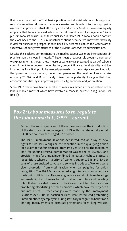Blair shared much of the Thatcherite position on industrial relations. He supported most Conservative reforms of the labour market and bought into the 'supply-side' agenda to improve industrial efficiency and productivity. Gordon Brown was equally emphatic that Labour believed in labour market flexibility and 'light regulation'. As he put it in Labour's business manifesto published in March 1997, Labour "would not turn the clock back to the 1970s in industrial relations because we know that flexibility is vital for business to prosper." Indeed flexibility became as much the watchword of successive Labour governments as of the previous Conservative administrations.

Despite this declared commitment to the market, Labour was more interventionist in practice than they were in rhetoric. Thirteen years of Labour rule brought a number of workplace reforms, though these measures were always presented as part of Labour's commitment to economic modernisation, prudent finance, fiscal stability and low inflation. As Tony Blair put it, he wanted partnership in the workplace combined with the "pursuit of strong markets, modern companies and the creation of an enterprise economy."24 Blair and Brown rarely missed an opportunity to argue that their economic priorities lay in improving productivity, enterprise and job creation.

Since 1997, there have been a number of measures aimed at the operation of the labour market, most of which have involved a modest increase in regulation (see Box 2):

### *Box 2: Labour measures to re-regulate the labour market, 1997 – current*

- Perhaps the most significant of these measures was the introduction of the statutory minimum wage in 1999, with the rate initially set at £3.30 per hour for those aged 22 or older.
- The 1999 Employment Relations Act introduced an array of new rights for workers. Alongside the reduction in the qualifying period for a claim for unfair dismissal from two years to one, the maximum limit for unfair dismissal compensation was raised to £50,000 and provision made for annual index-linked increases. A right to statutory recognition, where a majority of workers supported it and 40 per cent of those entitled to vote did so, was introduced. Workers were given protection from victimisation when campaigning for union recognition. The 1999 Act also created a right to be accompanied by a trade union official or colleague at grievance and disciplinary hearings and made limited changes to industrial action notice and balloting rules. It also provided powers for the Government to introduce rules prohibiting blacklisting of trade unionists, which have recently been put into effect. Further changes were made by the Employment Relations Act 2004, in particular rules were introduced prohibiting unfair practices by employers during statutory recognition ballots and limiting improvements to dismissal protections for striking workers.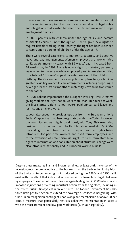In some senses these measures were, as one commentator has put it, ' the minimum required to close the substantial gap in legal rights and obligations that existed between the UK and mainland Europe employment practice.'25

- In 2003, parents with children under the age of six and parents of disabled children under the age of 18 were given new rights to request flexible working. More recently, the right has been extended to carers and to parents of children under the age of 17.
- There were several extensions to maternity, paternity and adoptive leave and pay arrangements. Women employees are now entitled to 52 weeks' maternity leave, with 39 weeks' pay – increased from 18 weeks' pay in 1997. There is now a right to statutory paternity leave – for two weeks – while employed parents are also entitled to a total of 13 weeks' unpaid parental leave until the child's fifth birthday. The Government has also published plans to give families greater flexibility over child care arrangements including proposing a new right for the last six months of maternity leave to be transferred to the father.
- In 1998, Labour implemented the European Working Time Directive giving workers the right not to work more than 48 hours per week; the first statutory right to four weeks' paid annual paid leave; and restrictions on night work.
- Labour also ended the previous opt-out from the European Union's Social Chapter that had been negotiated under the Tories. However, the commitment was highly conditional, with Tony Blair reassuring business of his commitment to flexible labour markets. By 2004, the ending of the opt-out had led to equal treatment rights being introduced for part-time workers and fixed term employees and to the extension of unfair dismissal rights to fixed term staff. New rights to information and consultation about structural change were also introduced nationally and in European Works Councils.

Despite these measures Blair and Brown remained, at least until the onset of the recession, much more receptive to the business than the trade union lobby. Most of the limits on trade union rights, introduced during the 1980s and 1990s, still exist with the effect that industrial action remains vulnerable to legal challenge by employers. The effect of these rules was again highlighted in 2009 when courts imposed injunctions preventing industrial action from taking place, including in the recent British Airways cabin crew dispute. The Labour Government has also taken little positive action to extend the coverage of collective bargaining, with trade union recognition contingent upon workplace membership of above 50 per cent, a measure that particularly restricts collective representation in sectors with the most transient and low-paid workforces (such as hospitality).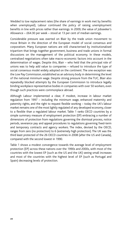Wedded to low replacement rates (the share of earnings in work met by benefits when unemployed), Labour continued the policy of raising unemployment benefits in line with prices rather than earnings. In 2009, the value of Jobseeker's Allowance – £64.30 per week – stood at 13 per cent of median earnings.

Considerable pressure was exerted on Blair by the trade union movement to move Britain in the direction of the European model of social consensus and corporatism. Many European nations are still characterised by institutionalised tripartism that brings together government, business and trade unions in formal discussions on the management of the political economy. In these models, centralised negotiations often take macro-economic factors into account in the determination of wages. Despite this, Blair – who held that the principal role of unions was to help add value to companies – refused to introduce the type of social consensus model widely adopted on the continent. The one exception was the Low Pay Commission, established as an advisory body in determining the level of the national minimum wage. Despite strong pressure from the TUC, Blair also repeatedly blocked attempts by the European Commission to introduce legally binding workplace representative bodies in companies with over 50 workers, even though such practices were commonplace abroad.

Although Labour implemented a clear, if modest, increase in labour market regulation from 1997 – including the minimum wage, enhanced maternity and paternity rights, and the right to request flexible working – today the UK's labour market remains one of the most lightly regulated of any developed economy, closer to a flexible than a regulated labour market. Table 1 ranks OECD countries by a simple summary measure of employment protection (EP) embracing a number of dimensions of protection from regulations governing the dismissal process, notice periods, severance pay and appeal procedures to regulations governing fixed-term and temporary contracts and agency workers. The index, devised by the OECD, ranges from zero (no protection) to 6 (extremely high protection). The UK was the third least protected of the 26 OECD countries in 2008 (after the US and Canada), compared with the second lowest in 1990.

Table 1 shows a modest convergence towards the average level of employment protection (EP) across these nations over the 1990s and 2000s, with most of the countries with the lowest EP (such as the US and the UK) seeing small increases and most of the countries with the highest level of EP (such as Portugal and Spain) decreasing levels of protection.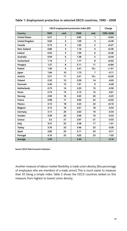|                       | OECD employment protection index (EP) | Change         |      |                |           |
|-----------------------|---------------------------------------|----------------|------|----------------|-----------|
| Country               | 1990                                  | rank           | 2008 | rank           | 1990-2008 |
| <b>United States</b>  | 0.21                                  | 1              | 0.85 | 1              | $+0.64$   |
| <b>United Kingdom</b> | 0.60                                  | $\overline{2}$ | 1.09 | 3              | $+0.49$   |
| Canada                | 0.75                                  | 3              | 1.02 | $\overline{2}$ | $+0.27$   |
| <b>New Zealand</b>    | 0.86                                  | 4              | 1.16 | 4              | $+0.30$   |
| Ireland               | 0.93                                  | 5              | 1.39 | 6              | $+0.46$   |
| Australia             | 0.94                                  | 6              | 1.38 | 5.             | $+0.44$   |
| Switzerland           | 1.14                                  | $\overline{7}$ | 1.77 | 8              | $+0.63$   |
| Hungary               | 1.27                                  | 8              | 2.11 | 11             | $+0.84$   |
| Poland                | 1.40                                  | 9              | 2.41 | $15 =$         | $+1.01$   |
| Japan                 | 1.84                                  | 10             | 1.73 | 7              | $-0.11$   |
| Austria               | 2.21                                  | 11             | 2.41 | $15 =$         | $+0.20$   |
| <b>Finland</b>        | 2.33                                  | 12             | 2.29 | 14             | $-0.03$   |
| <b>Denmark</b>        | 2.40                                  | 13             | 1.91 | 9              | $-0.49$   |
| <b>Netherlands</b>    | 2.73                                  | 14             | 2.23 | 13             | $-0.50$   |
| Korea                 | 2.74                                  | 15             | 2.13 | 12             | $-0.61$   |
| Norway                | 2.90                                  | 16             | 2.65 | 20             | $-0.25$   |
| France                | 2.98                                  | 17             | 3.00 | 22             | $+0.02$   |
| Mexico                | 3.13                                  | 18             | 3.23 | 24             | $+0.10$   |
| Belgium               | 3.15                                  | 19             | 2.61 | 18             | $-0.54$   |
| Germany               | 3.17                                  | 20             | 2.63 | 19             | $-0.54$   |
| Sweden                | 3.49                                  | 20             | 2.06 | 10             | $-0.53$   |
| Greece                | 3.5                                   | 21             | 2.97 | 21             | $-0.53$   |
| Italy                 | 3.57                                  | 22             | 2.58 | 17             | $-1.01$   |
| <b>Turkey</b>         | 3.76                                  | 23             | 3.46 | 25             | $-0.30$   |
| Spain                 | 3.82                                  | 24             | 3.11 | 24             | $-0.71$   |
| Portugal              | 4.10                                  | 25             | 3.05 | 23             | $-1.05$   |
| Average               | 2.30                                  |                | 2.20 |                | $-0.10$   |

### **Table 1: Employment protection in selected OECD countries, 1990 – 2008**

**Source: OECD Main Economic Indicators**

Another measure of labour market flexibility is trade union density (the percentage of employees who are members of a trade union). This is much easier to measure than EP, being a simple index. Table 2 shows the OECD countries ranked on this measure, from highest to lowest union density.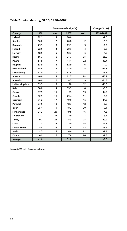|                       | Trade union density (%) |                         |      |                | Change (% pts) |
|-----------------------|-------------------------|-------------------------|------|----------------|----------------|
| Country               | 1990                    | rank                    | 2007 | rank           | 1990-2007      |
| <b>Iceland</b>        | 92.1                    | 1                       | 88.6 | 1              | $-2.5$         |
| Sweden                | 80.0                    | $\overline{2}$          | 70.8 | $\overline{2}$ | $-1.8$         |
| <b>Denmark</b>        | 75.3                    | 3                       | 69.1 | 3              | $-6.2$         |
| <b>Finland</b>        | 72.5                    | $\overline{\mathbf{4}}$ | 70.3 | 4              | $-2.2$         |
| Norway                | 58.5                    | 5                       | 53.7 | 5              | $-4.8$         |
| Ireland               | 56.7                    | 6                       | 31.7 | $9=$           | $-25.0$        |
| Poland                | 54.8                    | $\overline{7}$          | 14.4 | 22             | $-40.4$        |
| <b>Belgium</b>        | 53.9                    | 8                       | 52.9 | 6              | $-1.0$         |
| <b>New Zealand</b>    | 48.8                    | 9                       | 22.0 | 14             | $-22.8$        |
| Luxembourg            | 47.0                    | 10                      | 41.8 | $\overline{7}$ | $-5.2$         |
| Austria               | 46.9                    | 11                      | 31.7 | $9=$           | $-15.2$        |
| Australia             | 40.0                    | 12                      | 18.5 | 19             | $-21.5$        |
| <b>United Kingdom</b> | 39.3                    | 13                      | 28   | 12             | $-11.3$        |
| Italy                 | 38.8                    | 14                      | 33.3 | 8              | $-5.5$         |
| Greece                | 37.5                    | 15                      | 23   | 13             | $-14.5$        |
| Canada                | 32.9                    | 16                      | 29.4 | 11             | $-3.5$         |
| Germany               | 31.2                    | 17                      | 19.9 | 15             | $-11.3$        |
| Portugal              | 27.5                    | 18                      | 18.7 | 18             | $-8.8$         |
| Japan                 | 25.4                    | 19                      | 18.3 | 20             | $-7.1$         |
| <b>Netherlands</b>    | 24.3                    | 20                      | 19.8 | 16             | $-4.5$         |
| Switzerland           | 22.7                    | 21                      | 19   | 17             | $-3.7$         |
| <b>Turkey</b>         | 19.2                    | 22                      | 8.3  | 25             | $-10.9$        |
| Korea                 | 17.2                    | 23                      | 10   | 24             | $-7.2$         |
| <b>United States</b>  | 15.5                    | 24                      | 11.6 | 23             | $-3.9$         |
| <b>Spain</b>          | 12.5                    | 25                      | 14.6 | 21             | $+2.1$         |
| France                | 10.3                    | 26                      | 7.8  | 26             | $-2.5$         |
| Average               | 41.6                    |                         | 31.8 |                | $-9.8$         |

### **Table 2: union density, OECD, 1990–2007**

**Source: OECD Main Economic Indicators**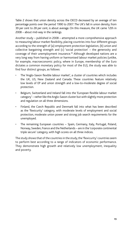Table 2 shows that union density across the OECD decreased by an average of ten percentage points over the period 1990 to 2007. The UK's fall in union density, from 39 per cent to 28 per cent, is about average. On this measure, the UK came 12th in 2008 – about mid-way in the rankings.

Another study – published in 2008 – attempted a more comprehensive approach to measuring labour market flexibility, placing countries into four different groups according to the strength of (a) employment protection legislation, (b) union and collective bargaining strength and (c) 'social protection' – the generosity and coverage of their unemployment insurance.26 Although developed nations are a very long way from having uniform or harmonised labour market policies (unlike, for example, macroeconomic policy, where in Europe, membership of the Euro dictates a common monetary policy for most of the EU), the study was able to find four distinct groups, as follows:

- The 'Anglo-Saxon flexible labour market', a cluster of countries which includes the UK, US, New Zealand and Canada. These countries feature relatively low levels of EP and union strength and a low-to-moderate degree of social protection.
- Belgium, Switzerland and Ireland fall into the 'European flexible labour market category' – rather like the Anglo-Saxon cluster but with slightly more protection and regulation on all three dimensions.
- Finland, the Czech Republic and Denmark fall into what has been described as the 'flexicurity' category, with moderate levels of employment and social protection, moderate union power and strong job search requirements for the unemployed.
- The remaining European countries Spain, Germany, Italy, Portugal, Poland, Norway, Sweden, France and the Netherlands – are in the 'corporate continental triple secure' category, with high scores on all three indices.

The study shows that of the countries in the study, the 'flexicurity' countries seem to perform best according to a range of indicators of economic performance. They demonstrate high growth and relatively low unemployment, inequality and poverty.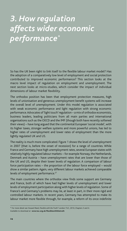# *3. How regulation affects wider economic performance\**

So has the UK been right to link itself to the flexible labour market model? Has the adoption of a comparatively low level of employment and social protection contributed to improved economic performance? This section looks at the macro level impact of regulation on employment and unemployment. The next section looks at micro-studies, which consider the impact of individual dimensions of labour market flexibility.

The orthodox position has been that employment protection measures, high levels of unionisation and generous unemployment benefit systems will increase the overall level of unemployment. Under this model regulation is associated with weak economic performance and light regulation with strong economic performance. Advocates of 'light touch' regulation – a mix of orthodox economists, business leaders, leading politicians from all main parties and international organisations such as the OECD and the IMF (though both have recently softened their views) – have long argued that the continental European 'social model', with its higher taxes, stronger welfare systems and more powerful unions, has led to higher rates of unemployment and lower rates of employment than the more lightly regulated UK and US.

The reality is much more complicated. Figure 1 shows the level of unemployment in 2007 (that is, before the onset of recession) for a range of countries. While France and Germany have high unemployment rates, several European states with relatively highly regulated labour markets – for example Norway, the Netherlands, Denmark and Austria – have unemployment rates that are lower than those of the UK and US, despite their lower levels of regulation. A comparison of labour force participation rates – the proportion of the labour force employed – would show a similar pattern. Again, very different labour markets achieved comparable levels of employment performance.<sup>27</sup>

The main countries where the orthodox view finds some support are Germany and France, both of which have had higher levels of unemployment and lower levels of employment participation along with higher levels of regulation. Some of France's and Germany's problems may lie, at least in part, in their more rigid and controlled labour markets. In recent years, Germany has attempted to make its labour market more flexible through, for example, a reform of its once indefinite

<sup>\*</sup> For more detail see Howard Reed, *Flexible with the Truth?* London: TUC, 2010, Chapters 3 and 4. Available to download at **www.tuc.org.uk/flexiblewiththetruth**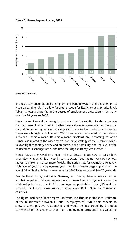



**Source: OECD, Eurostats**

and relatively unconditional unemployment benefit system and a change in its wage bargaining rules to allow for greater scope for flexibility at enterprise level. Table 1 shows a sharp fall in the degree of employment protection in Germany over the 18 years to 2008.

Nevertheless it would be wrong to conclude that the solution to above average German unemployment lies in further heavy doses of de-regulation. Economic dislocation caused by unification, along with the speed with which East German wages were brought into line with West Germany's, contributed to the nation's sustained unemployment. Its employment problems are, according to Adair Turner, also related to the wider macro-economic strategy of the Eurozone, which follows tight monetary policy and emphasises price stability, and the level of the deutschmark exchange rate at the time the single currency was created.<sup>28</sup>

France has also engaged in a major internal debate about how to tackle high unemployment, which is at least in part structural, but has not yet taken serious moves to make its market more flexible. The nation has, for example, a relatively high level of youth unemployment yet its adult minimum wage applies from the age of 18 while the UK has a lower rate for 18–22 year-olds and 16–17 year-olds.

Despite the outlying position of Germany and France, there remains a lack of an obvious pattern between regulation and unemployment. Figure 2 shows the relationship between the OECD's employment protection index (EP) and the unemployment rate (the average over the five years 2004 – 08) for the 26 member countries.

The figure includes a linear regression trend line (the best statistical estimate of the relationship between EP and unemployment). While this appears to show a slight positive relationship, and would be interpreted by orthodox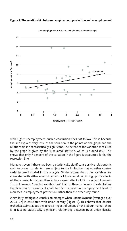

**OECD employment protection unemplyment, 2004–08 averages**

**Figure 2: The relationship between employment protection and unemployment** 

**Employment protection (OECD)**

with higher unemployment, such a conclusion does *not* follow. This is because the line explains very little of the variation in the points on the graph and the relationship is not statistically significant. The extent of the variation measured by the graph is given by the 'R-squared' statistic, which is around 0.07. This shows that only 7 per cent of the variation in the figure is accounted for by the regression line.

Moreover, even if there had been a statistically significant positive relationship, such two-way correlations are subject to the limitation that no other control variables are included in the analysis. To the extent that other variables are correlated with either unemployment or EP, we could be picking up the effects of these variables rather than a true causal effect of EP on unemployment. This is known as 'omitted variable bias'. Thirdly, there is no way of establishing the direction of causality. It could be that increases in unemployment lead to increases in employment protection rather than the other way round.

A similarly ambiguous conclusion emerges when unemployment (averaged over 2003–07) is correlated with union density (Figure 3). This shows that despite orthodox claims about the adverse impact of unions on the labour market, there is in fact no statistically significant relationship between trade union density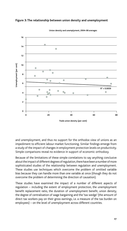



**Union density and unemplyment, 2004–08 averages**

and unemployment, and thus no support for the orthodox view of unions as an impediment to efficient labour market functioning. Similar findings emerge from a study of the impact of changes in employment protection levels on productivity. Simple comparisons reveal no evidence in support of economic orthodoxy.

Because of the limitations of these simple correlations to say anything conclusive about the impact of different degrees of regulation, there have been a number of more sophisticated studies of the relationship between regulation and unemployment. These studies use techniques which overcome the problem of omitted variable bias because they can handle more than one variable at once (though they do not overcome the problem of determining the direction of causation).

These studies have examined the impact of a number of different aspects of regulation – including the extent of employment protection, the unemployment benefit replacement ratio, the duration of unemployment benefit, union density, the degree of centralisation of wage bargaining and the 'tax wedge' (the amount of direct tax workers pay on their gross earnings, i.e. a measure of the tax burden on employees) – on the level of unemployment across different countries.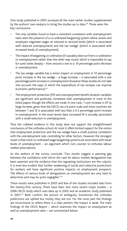One study published in 2005 surveyed all the main earlier studies supplemented by the authors' own analysis to bring the studies up to date.<sup>29</sup> These were the key conclusions:

- The only variables found to have a consistent correlation with unemployment rates were the presence of a co-ordinated bargaining system where unions and employers negotiate wages at national or sectoral levels (which is associated with reduced unemployment) and the tax 'wedge' (which is associated with increased levels of unemployment).
- The impact of bargaining co-ordination (if causality does run from co-ordination to unemployment rather than the other way round, which is impossible to say for sure) varies sharply – from around a one to a 10 percentage point *decrease* in unemployment.
- The tax wedge variable has a minor impact on employment. A 10 percentage point increase in the tax wedge – a huge increase – is associated with a one percentage point increase in unemployment (however these studies do not take into account the ways in which the expenditure of tax receipts can improve economic performance).<sup>30</sup>
- The employment protection (EP) and unemployment benefit duration variables are significant and positively correlated with unemployment in most of the listed papers though the effects are small. In one case, 1-unit increase in EP (a large increase, given that the OECD use a 6-point scale and most countries are between 1 and 3) is associated with less than a 0.3 percentage point increase in unemployment. In the most recent data, increased EP is actually associated with a small *reduction* in unemployment.

Thus the collated evidence in this study does not support the straightforward conclusions of the orthodox school. At most it offers limited support for the notion that employment protection and the tax wedge have a small positive correlation with the unemployment rate, controlling for other factors. However, the strongest result is that more co-ordinated wage bargaining systems are associated with *lower* levels of unemployment – an argument which runs counter to orthodox labour market prescriptions.

As the authors of the survey conclude: "Our results suggest a yawning gap between the confidence with which the case for labour market deregulation has been asserted and the evidence that the regulating institutions are the culprits. It is even less evident that further weakening of social and collective protections for workers will have significant positive impacts on employment prospects. The effects of various kinds of deregulation on unemployment are very hard to determine and may be quite negligible."31

These results were published in 2005 and few of the studies included data from the twenty-first century. There have been two more recent major studies – a 2006 OECD study which uses data up to 2002 and an academic study published in 2007.<sup>32</sup> Both confirm the picture of ambiguity. Sometimes the orthodox predictions are upheld but mostly they are not. For the most part the findings are inconclusive or where there is a clear pattern, the impact is weak. The main findings of the OECD Report – which examines the impact on *employment* as well as unemployment rates – are summarised below: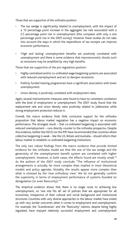Those that are supportive of the orthodox position:

- The tax wedge is significantly related to unemployment, with the impact of a 10 percentage point increase in the aggregate tax rate associated with a 2.5 percentage point rise in unemployment (this compares with only a one percentage point rise in the 2005 survey). However these studies do not take into account the ways in which the expenditure of tax receipts can improve economic performance.
- 'High and lasting' unemployment benefits are positively correlated with unemployment and there is some evidence that macroeconomic shocks such as recessions may be amplified by very high benefits.

Those that are supportive of the pro-regulation position:

- Highly centralised and/or co-ordinated wage bargaining systems are associated with reduced unemployment and act to dampen recessions.
- Publicly funded training programmes have a significant association with lower unemployment.
- Union density is positively correlated with employment rates.

Again, several interventionist measures were found to have no consistent correlation with the level of employment or unemployment. The 2007 study found that the replacement rate and union density were positively related to joblessness while strong employment protection reduces it.

Overall, the macro evidence finds little conclusive support for the orthodox proposition that labour market regulation has a negative impact on economic performance. The strongest result – that co-ordinated bargaining is associated with reduced unemployment – runs directly counter to the orthodox prospectus. Despite this evidence, neither the OECD nor the IMF have recommended that countries where collective bargaining is weak – like the US, Britain and Australia – should reform their labour market to establish co-ordinated bargaining institutions.

The only two robust findings from the macro evidence that provide limited evidence for the orthodox model are that the size of the tax wedge and the generosity of the unemployment benefit system are correlated with higher unemployment. However, in both cases, the effects found are mostly small.<sup>33</sup> As the authors of the 2007 study conclude: "The influence of institutional arrangements is actually far more complex than implied in most theoretical models and policy agendas. Notably, the results appear more complex than what is stressed by the 'new orthodoxy view'. We do not generally confirm the superiority in terms of employment performance of systems founded on deregulation (or even flexicurity)."34

The empirical evidence shows that there is no single route to achieving low unemployment, no 'one size fits all' set of policies that are appropriate for all economies, irrespective of their cultural and social background and institutional structures. Countries with very diverse approaches to the labour market have ended up with very similar outcomes when it comes to employment and unemployment. For example, the 'Scandinavian' and the 'flexicurity' nations, despite being highly regulated, have enjoyed relatively successful employment and unemployment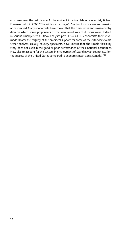outcomes over the last decade. As the eminent American labour economist, Richard Freeman, put it in 2005: "The evidence for the *Jobs Study* orthodoxy was and remains at best mixed. Many economists have known that the time-series and cross-country data on which some proponents of the view relied was of dubious value. Indeed, in various Employment Outlook analyses post-1994, OECD economists themselves made clearer the fragility of the empirical support for some of the orthodox claims. Other analysts, usually country specialists, have known that the simple flexibility story does not explain the good or poor performance of their national economies. How else to account for the success in employment of Scandinavian countries... [or] the success of the United States compared to economic near-clone, Canada?"<sup>35</sup>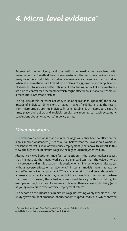# *4. Micro-level evidence\**

Because of the ambiguity, and the well know weaknesses associated with measurement and methodology in macro-studies, the micro-level evidence is in many ways more useful. Micro-studies have several advantages over macro-studies. Whereas macro-studies are limited by problems of aggregation and simplification of variables into indices, and the difficulty of establishing causal links, micro-studies are able to control for other factors which might affect labour market outcomes in a much more systematic fashion.

The flip-side of this increased accuracy in isolating (as far as is possible) the causal impact of individual dimensions of labour market flexibility is that the results from micro-studies are not individually generalisable. Each relates to a specific time, place and policy, and multiple studies are required to reach systematic conclusions about 'what works' in policy terms.

### *Minimum wages*

The orthodox prediction is that a minimum wage will either have no effect on the labour market whatsoever (if set at a level below what the lowest-paid worker in the labour market is paid) or will reduce employment (if set above this level). In this view, the higher the minimum wage is, the higher unemployment will be.

Alternative views based on imperfect competition in the labour market suggest that it is possible that many workers are being paid less than the value of what they produce and in this situation, it is possible for a minimum wage to raise wages without adverse effects on employment.<sup>36</sup> In certain models there may also be a *positive* impact on employment.<sup>37</sup> There is a certain critical level above which adverse employment effects may occur, but it is an empirical question as to where that level is. However, the actual rate may need to vary in this model, by, for example, setting lower rates for workers with lower than average productivity (such as young workers) to avoid adverse employment effects.

The debate on the impact of a minimum wage has swung wildly ever since a 1995 study by two eminent American labour economists produced results which showed

Available to download at **www.tuc.org.uk/flexiblewiththetruth** 

<sup>\*</sup> For more detail see Howard Reed, *Flexible with the Truth?* London: TUC, 2010, Chapter 5.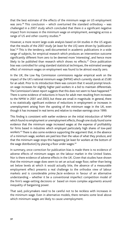that the best estimate of the effects of the minimum wage on US employment was zero.<sup>38</sup> This conclusion – which overturned the standard orthodoxy – was challenged in a 2007 study which concluded that there *is* a significant negative impact from increases in the minimum wage on employment, averaging across a range of US and other country studies.<sup>39</sup>

However, a more recent large-scale analysis based on 64 studies in the US argues that the results of the 2007 study (at least for the US) were driven by 'publication bias'.40 This is the tendency, well-documented in academic publications in a wide range of subjects, for empirical research which produces an intervention outcome significantly different from zero to be deemed more 'interesting', and hence more likely to be published than research which shows no effects.<sup>41</sup> Once publication bias was controlled for using standard statistical techniques, the estimated average effect of minimum wages on employment was found to be almost exactly zero.

In the UK, the Low Pay Commission commissions regular empirical work on the impact of the UK's national minimum wage (NMW) which currently stands at £5.80 for an adult. Prior to its introduction there was concern that it would prompt knockon wage increases for slightly higher paid workers in a bid to maintain differentials. The Commission's latest report suggests that this does not seem to have happened.<sup>42</sup> There is some evidence of reductions in hours for adult men resulting from increases to the NMW in 2001 and 2003, but these are small in magnitude. In general, there is no statistically significant evidence of reductions in employment or increases in unemployment arising from the uprating of the minimum wage in the UK, even though it has increased in real terms and relative to median earnings since 1999.

This finding is consistent with earlier evidence on the initial introduction of NMW which found no employment or unemployment effects, though one study found some evidence that the minimum wage increased wages at the expense of profitability for firms based in industries which employed particularly high shares of low-paid workers.<sup>43</sup> There is also some evidence supporting the argument that, in the absence of a minimum wage, workers are paid less than the value of what they produce, and that the minimum wage stops this happening (at least for workers at the bottom of the wage distribution) by placing a floor under wages.<sup>44</sup>

In summary, once correction for publication bias is made there is no evidence of adverse effects of minimum wages on the labour market in the United States. Nor is there evidence of adverse effects in the UK. Given that studies have shown that the minimum wage does seem to set an actual wage floor, rather than being set below levels at which it would actually bite, the absence of a measurable employment effect presents a real challenge to the orthodox view of labour markets and is considerable *prima facie* evidence in favour of an alternative understanding – whether it be a conventional imperfect competition model of the firm's wage-setting decisions or based on more complex arguments around inequality of bargaining power.

That said, policymakers need to be careful not to be reckless with increases in the minimum wage. Even in alternative models, there remains *some* level above which minimum wages are likely to cause unemployment.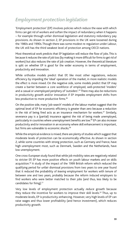# *Employment protection legislation*

'Employment protection' (EP) involves policies which reduce the ease with which firms can get rid of workers and soften the impact of redundancy when it happens – for example through unfair dismissal legislation and statutory redundancy pay provisions. As shown in section 2, EP provisions in the UK were loosened during the 1980s and 1990s. Though there was some modest re-regulation under Labour, the UK still has the third weakest level of protection among OECD nations.

Most theoretical work predicts that EP legislation will reduce the flow of jobs. This is because it reduces the rate of job loss (by making it more difficult for firms to get rid of workers) but also reduces the rate of job creation. However, the theoretical literature is split on whether EP is good for the wider economy in terms of employment, productivity and innovation.

While orthodox models predict that EP, like most other regulations, reduces efficiency by impeding the 'ideal' operation of the market, in more realistic models the effect is more mixed. On the negative side, some models predict that EP may create a barrier between a core workforce of employed, well-protected 'insiders' and a casual or unemployed periphery of 'outsiders'.<sup>45</sup> There may also be reductions in productivity growth and/or innovation if EP impedes employment shifts from less productive to more productive firms.46

On the positive side, many 'job-search' models of the labour market suggest that the optimal level of EP for economic efficiency is greater than zero because a reduction in the risk of being fired acts as an insurance mechanism for workers.<sup>47</sup> Similarly, severance pay is a (partial) insurance against the risk of being made unemployed, particularly in countries where unemployment benefits are low.48 EP can also *increase* productivity and/or innovation in an economy where skill enhancement is important, but firms are vulnerable to economic shocks.<sup>49</sup>

While the empirical evidence is mixed, there are plenty of studies which suggest that moderate levels of protection can be economically effective. As shown in section 2, while some countries with strong protection, such as Germany and France, have high unemployment most, such as Denmark, Sweden and the Netherlands, have low unemployment.

One cross-European study found that while job mobility rates are negatively related to stricter EP, EP has more positive effects on youth labour markets and on skills acquisition.<sup>50</sup> A study of the impact of the 1999 British reform which reduced the qualifying period for unfair dismissal provisions from two years to one year found that it reduced the probability of *leaving* employment for workers with tenure of between one and two years, probably because the reform induced employers to find workers who were better matched to their jobs (and thus, less likely to be candidates for firing).<sup>51</sup>

Very low levels of employment protection actually *reduce* growth because they reduce the incentive for workers to improve their skill levels.<sup>52</sup> Thus, up to moderate levels, EP is productivity-enhancing. However, very high levels of EP can raise wages and thus lower profitability (and hence investment), which reduces productivity growth.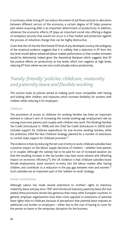In summary, while strong EP can reduce the extent of job flows and job re-allocation between different sectors of the economy, a certain degree of EP helps preserve jobs where acquiring skills is an important determinant of productivity. In addition, whatever the economic effects, EP plays an important social role, offering a degree of workplace security that would not occur in a free market and protection against the process of industrial change that can be highly destructive.

Given that the UK has the third lowest EP level of any developed country, the ambiguity of the empirical evidence suggests that it is unlikely that a reduction in EP from this low level would deliver enhanced labour market performance or that modest increases would be detrimental. Indeed given the theoretical literature which suggests that EP has positive effects on productivity at low levels, which turn negative at high levels, reducing EP from where we are now could actually reduce productivity.

# *'Family-friendly' policies: childcare, maternity and paternity leave and flexible working*

This section looks at policies aimed at making work more compatible with having and looking after children, and measures which increase flexibility for workers with children while reducing it for employers.

#### *Childcare*

The promotion of access to childcare for working families has been an important element in Labour's aim of increasing the overall working-age employment rate by moving more lone parents and couples with children into work. The Working Families Tax Credit (introduced in 1999) and the Child Tax Credit (introduced in 2003) both included support for childcare expenditure for low-income working families, while the ambitious 2004 Ten Year Childcare Strategy planned for a number of extensions to current state support for childcare provision.<sup>53</sup>

The evidence is that, by reducing the net cost of entry to work, childcare subsidies have a positive impact on the labour supply decisions of mothers – whether lone parents or in couples. Although the subsidy has to be paid for out of increased taxation (so that the resulting increase in the tax burden may have some adverse and offsetting impact on economic efficiency<sup>54</sup>), the UK evidence is that childcare subsidies boost female employment, assist women's re-entry into the labour market after having children, and contribute to a reduction in the pay gap between men and women.<sup>55</sup> Such subsidies are an important part of the 'welfare-to-work' strategy.

#### *Family-related leave*

Although Labour has made several extensions to mothers' rights to statutory maternity leave and pay since 1997 and introduced statutory paternity leave (for two weeks) these provisions remain less generous than many other European countries. In general, employer organisations have been more opposed to extensions of parental leave rights than to childcare, because of perceptions that parental leave imposes an additional cost burden on employers – either due to the cost of having to cover for the person on leave or the temporary disruption for the business.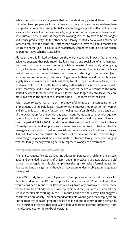While the orthodox view suggests that in the short run, parental leave costs are shifted on to employees via lower net wages, in more complex models – where there is imperfect competition and potential scope for bargaining – the effects of parental leave are less clear. On the negative side, long periods of family-related leave might be disruptive to the business if they cause working patterns to have to be rearranged and reduce productivity. On the other hand, if family-related leave allows a mother or father to return to the same job – rather than having to leave the labour market and return to another job – it could raise productivity compared with a situation where no parental leave scheme is available.

Although there is limited evidence on the wider economic impact, the empirical evidence suggests that paid maternity leave has strong social benefits. It increases the time that women spend out of the labour market immediately after giving birth; it increases the likelihood of women returning to employment after the leave period runs out; it increases the likelihood of women returning to the same job (i.e. it improves worker retention; it has much bigger effects than unpaid maternity leave) largely because women are much less likely to take unpaid maternity leave; it has positive effects on child health (measured by birthweight), a negative correlation with infant mortality, and a positive impact on mothers' health outcomes.<sup>56</sup> The more limited evidence for fathers is that when fathers take longer parental leave, they are more involved in the care of their infants nine or 10 months after the birth.<sup>57</sup>

Paid maternity leave has a much more powerful impact on encouraging female employment than unpaid leave. Maternity leave improves job retention for women and, since reductions in pay for women moving jobs after childbirth are a large part of the explanation for the gender pay gap, it contributes to greater gender equality by enabling women to return to their pre-childbirth jobs (and pay levels). Research over the period 1998 – 2004 has also found that workplaces in which the incidence of family-friendly working practices increased were more likely to be identified by managers as having improved in financial performance relative to others. However, it is not clear what the causal interpretation of this relationship is – whether highperforming workplaces had more spare funds to introduce family-friendly working, or whether family-friendly working actually improved workplace performance.

### *The right to request flexible working*

The right to request flexible working, introduced for parents with children under six in 2003 and extended to parents of children under 16 in 2009, is a classic piece of 'soft' labour market regulation – it gives employees the right to make a formal request for flexible working arrangements though employers are under no obligation to agree to the request.

One 2006 study found that 91 per cent of employers accepted all requests for flexible working in the 12 months prior to the survey, and 92 per cent said they would consider a request for flexible working from any employee – even those without children.<sup>58</sup> Forty per cent of employers said they had received at least one request for flexible working in the 12 months prior to the survey. This suggests considerable previously unmet demand for flexible working and that employers are (in the majority of cases) prepared to be flexible about accommodating demands. This is further evidence that real-world labour markets operate differently from the idealised economic textbook versions.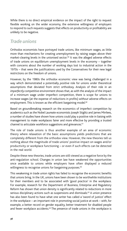While there is no direct empirical evidence on the impact of the right to request flexible working on the wider economy, the extensive willingness of employers to respond to such requests suggests that effects on productivity or profitability are unlikely to be negative.

### *Trade unions*

Orthodox economists have portrayed trade unions, like minimum wages, as little more than mechanisms for creating unemployment by raising wages above their market-clearing levels in the unionised sector.<sup>59</sup> It was the alleged adverse effects of trade unions on equilibrium unemployment levels in the economy – together with concerns about the number of working days lost to industrial action in the 1970s – that were the justifications used by the Conservatives for their new legal restrictions on the freedom of unions.

However, by the 1980s the orthodox economic view was being challenged in a way which demonstrated a potentially *positive* role for unions under theoretical assumptions that deviated from strict orthodoxy. Analysis of their role in an *imperfectly competitive* environment shows that, as with the analysis of the impact of a minimum wage under imperfect competition, there is scope for unions to increase wages (at the expense of reductions in profits) *without* adverse effects on employment. This is known as the efficient bargaining model.<sup>60</sup>

Based on groundbreaking research on the economics of imperfect competition by academics such as the Nobel Laureate economists Joseph Stiglitz and James Mirrlees, a number of studies have shown how unions could play a positive role in liaising with management to make workplaces fairer and more effective by providing a trusted channel to articulate workforce suggestions and grievances.<sup>61</sup>

The role of trade unions is thus another example of an area of economic theory where relaxation of the basic assumptions yields predictions that are completely different from the orthodox view. However, the new theories tell us nothing about the magnitude of trade unions' positive impact on wages and/or productivity or workplace functioning – or even if such effects can be detected in the real world.

Despite these new theories, trade unions are still viewed as a negative force by the anti-regulation school. Changes in union law have weakened the opportunities once available to unions while employers have often displayed a reduced willingness to recognise unions for bargaining purposes.<sup>62</sup>

This weakening in trade union rights has failed to recognise the economic benefits that unions bring. In the UK, unions have been shown to be worthwhile institutions for their members and to be associated with 'good practice' in the workplace. For example, research for the Department of Business, Enterprise and Regulatory Reform has shown that union density is significantly related to reductions in more serious disciplinary actions such as suspensions and dismissals.<sup>63</sup> A union presence has also been found to have what one writer has called a 'sword of justice' effect in the workplace – an important role in promoting social justice at work – with, for example, a better record on gender equality, better treatment for disabled people and fewer workplace accidents.<sup>64</sup> The presence of trade unions in the workplace is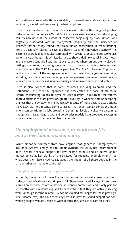also positively correlated with the availability of parental leave (above the statutory minimum), special paid leave and job-sharing options.<sup>65</sup>

There is also evidence that union density is associated with a range of positive wider economic outcomes. A World Bank analysis across developed and developing countries found that the extent of collective bargaining by trade unions was negatively associated with unemployment, inequality and the incidence of strikes.<sup>66</sup> Another study found that trade union recognition in manufacturing firms is positively related to several different types of innovative practice.<sup>67</sup> The existence of trade unions is also correlated with several aspects of good workplace performance, although it is admittedly hard to show a definite causal link. As shown in the macro-economic literature above, countries where unions are involved in setting co-ordinated bargaining agreements across the economy tend to have lower unemployment. The TUC Touchstone pamphlet *The Road to Recovery*68 provides further discussion of the workplace benefits that collective bargaining can bring, including workplace innovation, employee engagement, improved retention and reduced absence, increased income equality and improved access to education.

There is also evidence that in some countries, including Denmark and the Netherlands, the tripartite approach has accelerated the pace of structural reform, encouraging unions to agree to wage restraint in return for tax reform, improvements in welfare provision, greater diversity in working time or accepting changes that are employment-enhancing.<sup>69</sup> Because of these positive associations, the OECD has more recently come to accept that under certain conditions, trade unions can contribute to jobs growth and that high levels of collective bargaining through centralised negotiating and corporatist models have produced successful labour market outcomes in a number of countries.<sup>70</sup>

## *Unemployment insurance, in-work benefits and active labour market policy*

While orthodox commentators have argued that generous unemployment insurance systems simply lead to unemployment, the OECD has recommended both in-work financial support for low-income earners and an active labour market policy as key planks of the strategy for reducing unemployment.<sup>71</sup> So what does the micro-evidence say about the impact of all these policies in the UK and other comparable countries?

#### *Unemployment and other out-of-work benefits*

In the UK, the system of unemployment insurance has gradually been pared back. Today, Jobseeker's Allowance (JSA) pays £64.30 per week for adults aged 25 and over, requires an adequate record of national insurance contributions and is only paid for six months with claimants required to demonstrate that they are actively seeking work (although income-related JSA can be claimed for longer for those passing a strict income test). The UK benefits system also provides varied support for nonworking people who are unable to work because they are sick or care for others.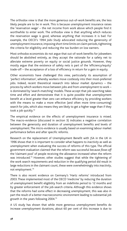The orthodox view is that the more generous out-of-work benefits are, the less likely people are to be in work. This is because unemployment insurance raises the 'reservation wage' – the net income from work above which people find it worthwhile to enter work. The orthodox view is that anything which reduces the reservation wage is good, whereas anything that increases it is bad. For example, the OECD's 1994 *Jobs Study* advocated reducing the generosity of unemployment insurance, imposing short time limits on claim periods, tightening the criteria for eligibility and reducing the tax burden on low earners.

Most orthodox economists do not argue that out-of-work benefits for jobseekers should be abolished entirely, as they accept the rationale for a safety net to alleviate extreme poverty on equity or social justice grounds. However, they mostly argue that the existence of safety nets is part of the 'efficiency/equity' trade-off – the acceptance of a loss of efficiency in return for a gain in equity.

Other economists have challenged this view, particularly its assumption of 'perfect information', whereby workers move costlessly into their most-preferred jobs. Indeed, recent theoretical research into labour market dynamics – the process by which workers move between jobs and from unemployment to work – is dominated by 'search-matching' models. These accept that job-searching takes time and effort and demonstrate that it is quite possible that unemployment benefit at a level greater than zero can enhance efficiency by providing workers with the means to make a more effective (and often more time-consuming) search for jobs, which also means they are likely to get a higher wage than if they took a job quickly.72

The empirical evidence on the effects of unemployment insurance is mixed. The macro-evidence (discussed in section 3) indicates a negative correlation between the generosity and duration of unemployment benefits and levels of unemployment. The micro-evidence is usually based on examining labour market performance before and after specific reforms.

Research on the replacement of Unemployment Benefit with JSA in the UK in 1996 shows that it is important to consider what happens to *inactivity* as well as unemployment when evaluating the success of reforms of this type. The official government evaluation claimed that the reform was successful because *flows off* the 'claimant pool' of people receiving the allowance increased when the reform was introduced.73 However, other studies suggest that while the tightening of the work search requirements and reduction in the qualifying period did result in large reductions in the claimant count, these were overwhelmingly into *inactivity*, not employment.74

There is also recent evidence on Germany's 'Hartz reforms' introduced from 2003. These implemented most of the OECD 'medicine' by reducing the duration of unemployment benefit eligibility from an indefinite period to 12 months and by greater enforcement of the job-search criteria. Although this evidence shows that the reforms had some effect in decreasing unemployment, this was also in part the result of a better macroeconomic environment leading to substantial job growth in the years following 2004.75

A US study has shown that while more generous unemployment benefits do increase unemployment durations, about 60 per cent of this increase is due to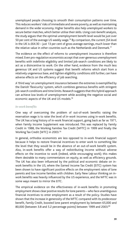unemployed people choosing to smooth their consumption patterns over time. This reduces workers' risks of immediate and severe poverty, as well as maintaining demand in the wider economy. Higher benefits also help unemployed workers to secure better matches, which better utilise their skills. Using cost-benefit analysis, the study argues that the optimal unemployment benefit level would be just over 50 per cent of the average US weekly wage.<sup>76</sup> By comparison, the current JSA level in the UK is £64.30 – just 13 per cent of gross average earnings, much lower than the relative value in other countries such as the Netherlands and Denmark.<sup>77</sup>

The evidence on the effect of reforms to unemployment insurance is therefore mixed. Even pro-regulation economists accept that over-generous unemployment benefits with indefinite eligibility and limited job-search conditions are likely to act as a disincentive to work. On the other hand, evidence from the much less generous UK and US systems suggest that benefit reforms which start from a relatively ungenerous base, and tighten eligibility conditions still further, can have adverse effects on the efficiency of job searching.

A 'third way' on unemployment insurance between the extremes is exemplified by the Danish 'flexicurity' system, which combines generous benefits with stringent job-search conditions and time limits. Research suggests that this hybrid approach can achieve low levels of unemployment while avoiding the negative social and economic aspects of the UK and US models.<sup>78</sup>

#### *In-work benefits*

One way of overcoming the problem of out-of-work benefits raising the reservation wage is to raise the level of *in-work* incomes using in-work benefits. The UK has a long history of in-work financial support, going back as far as 1971, when Family Income Supplement was introduced. This was replaced by Family Credit in 1988, the Working Families Tax Credit (WFTC) in 1999 and finally the Working Tax Credit (WTC) in 2003.79

In general, orthodox economists are less opposed to in-work financial support because it helps to restore financial incentives to enter work to something like the level that they would be in the absence of an out-of-work benefit system. Also, in-work benefits offer a way of redistributing income without adverse effects on the incentive to work (indeed, while encouraging work); this makes them desirable to many commentators on equity, as well as efficiency grounds. The UK has also been influenced by the political and economic debate on inwork benefits in the US, where the Earned Income Tax Credit (EITC) system has been shown to have significant positive effects on the employment rates of lone parents and low income families with children. Early New Labour thinking on inwork benefits was heavily influenced by the US experience, and the WFTC was in some ways meant to mirror the EITC.

The empirical evidence on the effectiveness of in-work benefits in promoting employment shows clear positive results for lone parents – who face unambiguous financial incentives to enter employment as a result of the policy. Studies have shown that the increase in generosity of the WFTC compared with its predecessor benefit, Family Credit, boosted lone parent employment by between 65,000 and 80,000 (between 3.8 and 5.2 percentage points) between 1999 and 2003.80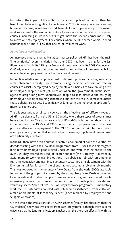In contrast, the impact of the WFTC on the labour supply of *married* mothers has been found to have insignificant effects overall.<sup>81</sup> This is largely because by raising household income, increasing in-work benefits for a couple where just the man is working can make the woman *less* likely to seek work. In the case of two-earner couples, increasing in-work benefits might make the second earner more likely to move *out* of employment. For couples where *neither* earner works, in-work benefits make it more likely that one earner will enter work.

#### *Active labour market policy*

An increased emphasis on active labour market policy (ALMP) has been the main 'interventionist' recommendation that the OECD has been making for the last fifteen years, first in its 1994 *Jobs Study* and most recently in its 2009 *Employment Outlook*, where it argues that countries need to be spending a lot more on ALMP to reduce the unemployment impact of the current recession.

In practice, ALMP can comprise a host of different policies including assistance with job-search activity (for example, using personal advisers or training courses to assist unemployed people); employer subsidies to take on long-term unemployed people; direct job creation when the government/public sector agencies assign long-term unemployed people to jobs directly; and assigning unemployed people to training schemes to improve their skills. In most countries these policies are targeted specifically at long-term unemployed people and/or marginalised groups.

There is substantial empirical evidence on the effectiveness of different types of ALMP – particularly from the US and Canada, where these types of programmes have a long history. One summary study of US and Canadian active labour market initiatives from the 1980s and 1990s found that such programmes mostly have positive effecs on employment.82 The OECD has reached similar conclusions about job-search, finding that subsidised job or earnings supplement programmes are particularly effective.<sup>83</sup>

In the UK, there have been a number of active labour market policies over the last decade starting with the New Deal programmes from 1998. These first targeted long-term unemployed people aged under 25 and were then extended to the over-25s. They offered assisted job-search support (the 'Gateway') followed by assignment to work or training options – a subsidised job with an employer, full-time education and training, a voluntary sector job or a placement with the Environmental Taskforce – if the client had not secured a job after six months. This was followed by the voluntary New Deals from the early 2000s available for some of the groups not covered by the compulsory New Deals – including lone parents and disabled people. These voluntary programmes offered people intensive job-search assistance, training and jobs through public, private and voluntary sector 'job brokers'. The Pathways to Work programme – mandatory work-focused interviews coupled with job-search assistance – from 2004 was aimed at claimants of Incapacity Benefit (since replaced by Employment and Support Allowance).

On the whole, the evaluations of UK ALMP schemes (though less thorough than the US evidence) show positive effects from each programme, although there is some evidence that the long-run effects are smaller than the short-run effects. As with the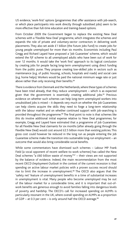US evidence, 'work-first' options (programmes that offer assistance with job-search, or which place participants into work directly through subsidised jobs) seem to be more effective than full-time education and training-based options.

From October 2009 the Government began to replace the existing New Deal schemes with a 'Flexible New Deal' programme, which integrates the schemes and expands the role of private and voluntary-sector contractors in delivering work placements. They also set aside £1 billion (the Future Jobs Fund) to create jobs for young people unemployed for more than six months. Economists including Paul Gregg and Richard Layard have proposed a 'Job Guarantee' scheme, which would extend the FJF scheme to all unemployed adults who have been out of work for over 12 months. It would take the 'work first' approach to its logical conclusion by creating jobs for people facing long-term unemployment using direct funding from the public purse. They propose creating low-skilled jobs in sectors such as maintenance (e.g. of public housing, schools, hospitals and roads) and social care (e.g. home helps). Workers would be paid the national minimum wage rate or just above rather than only receiving their benefits.<sup>84</sup>

There is evidence from Denmark and the Netherlands, where these types of schemes have been tried already, that they reduce unemployment – which is as expected given that the government is essentially creating additional jobs. $85$  Previous evidence on whether such schemes can help long-term unemployed workers into unsubsidised jobs is mixed – it depends very much on whether the Job Guarantees can help clients acquire the skills they need to forge a long-term relationship with the labour market and on whether continued support with job-searching is provided throughout the programme.<sup>86</sup> The final point to note is that schemes like this do involve additional initial expense relative to New Deal programmes; for example, Gregg and Layard have estimated that a programme of Job Guarantees for all Flexible New Deal claimants for six months (after already going through the Flexible New Deal) would cost around £2.5 billion more than existing policies. This gross cost could however be reduced in the long run as people entering the Job Guarantee scheme make the transition into sustainable long-run employment – an outcome that would also bring considerable social benefits.

While some commentators have dismissed such schemes – Labour MP Frank Field (a vocal opponent of recent welfare-to-work schemes) has called the New Deal schemes "a £60 billion waste of money" $87 -$  their views are not supported by the balance of evidence. Indeed, the main recommendation from the most recent OECD *Employment Outlook* in the context of the current recession is that spending on active labour market policies with a proven success record should rise to limit the increase in unemployment.<sup>88</sup> The OECD also argues that the 'safety net' feature of unemployment benefits in a time of substantial increases in unemployment is vital. Many people who become unemployed may be out of the labour market for a considerable time, and it is important that out-ofwork benefits are generous enough to avoid families falling into dangerous levels of poverty and hardship. The OECD's call for increased spending on ALMPs is particularly resonant in the UK, where overall spending on ALMPs as a proportion of GDP – at 0.3 per cent – is only around half the OECD average. $89$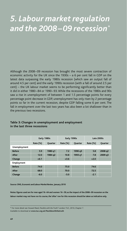# *5. Labour market regulation and the 2008 – 09 recession\**

Although the 2008–09 recession has brought the most severe contraction of economic activity for the UK since the 1930s – a 6 per cent fall in GDP on the latest data surpassing the early 1980s recession (which saw an output fall of around 4.5 per cent) and the early 1990s recession (with a fall of around 2.5 per cent) – the UK labour market seems to be performing significantly better than it did in either 1980–84 or 1990–93. While the recessions of the 1980s and 90s saw a rise in unemployment of between 1 and 1.5 percentage points for every percentage point decrease in GDP, unemployment has only risen by 2 percentage points so far in the current recession, despite GDP falling some 6 per cent. The fall in employment over the last two years has also been a lot shallower than in the previous two recessions.

|               | Early 1980s |                | Early 1990s     |                | Late 2000s      |                |
|---------------|-------------|----------------|-----------------|----------------|-----------------|----------------|
|               | Rate (%)    | <b>Ouarter</b> | <b>Rate (%)</b> | <b>Ouarter</b> | <b>Rate (%)</b> | <b>Quarter</b> |
| Unemployment  |             |                |                 |                |                 |                |
| <b>Before</b> | 5.9         | 1980 q1        | 7.2             | 1990 q3        | 5.8             | 2008 q2        |
| After         | 12.0        | 1984 q2        | 10.8            | 1993 q1        | 7.8             | 2009 q3        |
| Change        | $+6.1$      |                | $+3.6$          |                | $+2.0$          |                |
| Employment    |             |                |                 |                |                 |                |
| <b>Before</b> | 74.0        |                | 75.0            |                | 74.6            |                |
| After         | 68.0        |                | 70.0            |                | 72.5            |                |
| Change        | $-6.0$      |                | $-5.0$          |                | $-2.1$          |                |

### **Table 3: Changes in unemployment and employment in the last three recessions**

**Source: ONS,** *Economic and Labour Market Review***, January 2010**

**Notes: figures used are for men aged 16–64 and women 16–59; as the impact of the 2008–09 recession on the labour market may not have run its course, the 'after' row for this recession should be taken as indicative only.**

<sup>\*</sup> For more detail see Howard Reed, *Flexible with the Truth?* London: TUC, 2010, Chapter 7.

Available to download at **www.tuc.org.uk/flexiblewiththetruth**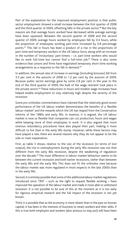Part of the explanation for the improved employment position is that public sector employment showed a small increase between the first quarter of 2008 and the third quarter of 2009, offsetting falls in the private sector.<sup>90</sup> But the key reasons are that average hours worked have decreased while average earnings have been squeezed. Between the second quarter of 2008 and the second quarter of 2009, average hours worked by employees fell by 0.4 hours, while the proportion of employees working part-time increased by 0.8 percentage points.91 This fall in hours has been a product of a rise in the proportions of part-time and temporary workers in the UK labour force, along with an increase in the number of 'involuntary' part-timers – i.e. part-time workers who would like to work full-time but cannot find a full-time job. $92$  There is also some evidence that unions and firms have negotiated temporary short-time working arrangements as a response to the fall in demand.<sup>93</sup>

In addition, the annual rate of increase in earnings (including bonuses) fell from 3.3 per cent in the autumn of 2008 to 1.2 per cent by the autumn of 2009. Because public sector earnings grew by some 2.8 per cent in the year to the end of the third quarter of 2009, the bulk of the wage restraint took place in the private sector.94 These reductions in hours and modest wage increases have helped enable employment to stay relatively high despite the severity of the recession.

Some pro-orthodox commentators have claimed that the relatively good recent performance of the UK labour market demonstrates the benefits of a 'flexible labour market' and the rewards which the UK has reaped from the Conservative reforms of the 1980s and early 90s. In essence, it is argued, the UK labour market is now so flexible that companies can cut production, hours and wages while keeping more of their employees in work. It is also argued that more onerous redundancy procedures have also played their part, making it more difficult to fire than in the early 90s slump. However, while these factors may have played a role, there are several reasons why they do not appear to be the sole or main explanation.

First, as table 3 shows, relative to the size of the recession (in terms of lost output), the rise in unemployment during the early 90s recession was not that different from the early 80s recession, despite the weakening of regulation over the decade.95 The main difference in labour market behaviour seems to be between the current recession and both earlier recessions, rather than between the early 80s and the early 90s. This does not fit the orthodox view because the labour market was more regulated in most respects in the late 2000s than in the early 90s.

Second, it is entirely possible that some of the additional labour market regulations introduced since 1997 – such as the right to request flexible working – have improved the operation of the labour market and made it more able to withstand recession. It is not possible to be sure of this at the moment as it is too early for rigorous empirical research and the full impact of the recession is not yet known.

Third, it is possible that as the economy is more reliant than in the past on human capital, it has been in the interests of business to retain workers and their skills. If this is true both employers and workers (also anxious to stay put) will have been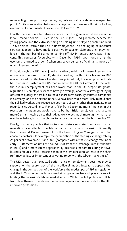more willing to support wage freezes, pay cuts and sabbaticals. As one expert has put it: "In its co-operation between management and workers, Britain is looking ever more like continental Europe from 1945 –1973."96

Fourth, there is some tentative evidence that the greater emphasis on active labour market policies – such as the Future Jobs Fund guarantee scheme for young people and the extra spending on helping unemployed people find work – have helped restrain the rise in unemployment. The beefing up of Jobcentre services appears to have made a positive impact on claimant unemployment levels – the number of claimants coming off JSA in January 2010 was 13 per cent. This compares favourably with December 1991 (two months after the economy returned to growth) when only seven per cent of claimants moved off unemployment benefit.97

Fifth, although the UK has enjoyed a relatively mild rise in unemployment, the opposite is the case in the US, despite heading the flexibility league. As BBC economics editor Stephanie Flanders has pointed out, the unemployment rate has risen much faster in the US than in either the UK or Germany. In the latter the rise in unemployment has been lower than in the UK despite its greater regulation. US employers seem to have (on average) adopted a strategy of laying off staff as quickly as possible, to reduce short-term costs. By contrast, companies in Germany (and to an extent in the UK) have been much more likely to hold onto their skilled workers and reduce average hours of work rather than instigate mass redundancies. According to Flanders: "Far from becoming more American in this recession, the argument would have to be that British employers have become more German, holding on to their skilled workforces much more tightly than they ever have before, but cutting hours to reduce the impact on the bottom line."<sup>98</sup>

Finally, it is quite possible that factors completely separate from labour market regulation have affected the labour market response to recession differently this time round. Recent research from the Bank of England<sup>99</sup> suggests that other economic factors – for example the depreciation of the sterling exchange rate by 25 per cent between 2007 and 2009 (compared with a stable exchange rate in the early 1990s recession until the pound's exit from the Exchange Rate Mechanism in 1992) and a more lenient approach by business creditors (resulting in fewer business failures in this recession than in the last recession, at least in the short run) may be just as important as anything to do with the labour market itself.

The UK's better than expected performance on employment does not provide support for the supremacy of the neo-liberal model. Instead it appears that change in the composition of the workforce, the modest post-1997 re-regulation and the UK's more active labour market programmes have all played a role in limiting the recession's labour market effects. While the full picture is still far from clear, there is no evidence that reduced regulation is responsible for the UK's improved performance.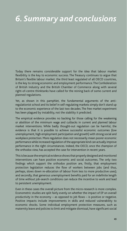# *6. Summary and conclusions*

Today there remains considerable support for the idea that labour market flexibility is the key to economic success. The Treasury continues to argue that Britain's flexible labour market, the third least regulated of all OECD countries, is the key to strong economic and employment performance. The Confederation of British Industry and the British Chamber of Commerce along with several right-of-centre thinktanks have called for the reining back of some current and planned regulations.

Yet, as shown in this pamphlet, the fundamental arguments of the antiregulationist school and its belief in self-regulating markets simply don't stand up to the economic experience of the last two decades. The free market experiment has been plagued by instability, not the stability it predicted.

The empirical evidence provides no backing for those calling for the weakening or abolition of the minimum wage and cutbacks in current and planned labour market interventions. While badly thought-out regulation can be harmful, the evidence is that it is possible to achieve successful economic outcomes (low unemployment, high employment participation and growth) with strong social and workplace protection. More regulation does not necessarily mean poorer economic performance while increased regulation of the appropriate kind can actually improve performance in the right circumstances. Indeed, the OECD, once the champion of the orthodox view, has accepted the case for intervention in recent years.

This is because the empirical evidence shows that properly designed and monitored interventions can have positive economic and social outcomes. The only two findings which support the orthodox position are, firstly, that employment protection legislation reduces the flow of workers between jobs (and thus, perhaps, slows down re-allocation of labour from less to more productive uses); and secondly, that generous unemployment benefits paid for an indefinite length of time *without* job-search conditions can reduce the incentive to work and lead to persistent unemployment.

Even in these cases the overall picture from the micro-research is more complex. Econometric studies are split fairly evenly on whether the impact of EP on *overall productivity* in the economy – as opposed to job flows – is positive or negative. Positive impacts include improvements in skills and reduced vulnerability to economic shocks. Some individual employment protection measures, such as maternity leave and policies to limit and mitigate dismissal, have significant social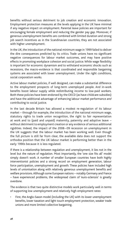benefits without serious detriment to job creation and economic innovation. Employment protection measures at the levels applying in the UK have minimal if any negative impact on employment. Parental leave policies are important for encouraging female employment and reducing the gender pay gap. Moreover, if generous unemployment benefits are combined with limited duration and strong job search incentives as in the Scandinavian countries, they are not associated with higher unemployment.

In the UK, the introduction of the national minimum wage in 1999 failed to deliver the dire consequences predicted by its critics. Trade unions have no significant negative consequences for labour market outcomes, and may have positive effects in promoting workplace cohesion and social justice. While wage flexibility is important for economic dynamism and to withstand economic shocks such as recessions, the macro-evidence is that coordinated and responsible bargaining systems are associated with lower unemployment. Under the right conditions, social corporatism works.

Active labour market policies, if well designed, can make a substantial difference to the employment prospects of long-term unemployed people. And in-work benefits boost labour supply while redistributing income to low-paid workers. Both these policies have been endorsed by the OECD (as have childcare subsidies) and have the additional advantage of enhancing labour market performance *and* contributing to social justice.

In the last decade Britain has allowed a modest re-regulation of its labour market – through for example, the introduction of the national minimum wage, statutory rights to trade union recognition, the right to fair representation at work and to (paid and unpaid) maternity, paternity and adoptive leave – without detriment to employment creation or any evidence of serious additional rigidities. Indeed, the impact of the 2008–09 recession on unemployment in the UK suggests that the labour market has been working well. Even though the full picture is still far from clear, the available data does not support the orthodox position that the UK labour market is performing better than in the early 1990s because it is less regulated.

If there is a relationship between regulation and unemployment, it lies not in the level but the nature of regulation. Most importantly, the 'one size fits all' model simply doesn't work. A number of smaller European countries have both highly interventionist policies and a strong record on employment generation, labour force participation, unemployment and growth. These policies have included high levels of unionisation along with relatively generous unemployment benefits and welfare provisions. Although some European nations – notably Germany and France – have experienced problems, the widespread claim of 'euro-sclerosis' is greatly overdone.

The evidence is that two quite distinctive models work particularly well in terms of supporting low unemployment and relatively high employment rates:

First, the Anglo-Saxon model (including the UK) with its lower unemployment benefits, lower taxation and light touch employment protection, weaker trade unions and more limited collective bargaining.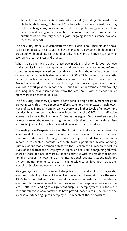• Second, the Scandinavian/flexicurity model (including Denmark, the Netherlands, Norway, Finland and Sweden), which is characterised by strong collective bargaining, high levels of employment protection, generous welfare benefits and stringent job-search requirements and time limits on the durations of contributory benefits (with ongoing social assistance available for those in need).

The flexicurity model also demonstrates that flexible labour markets don't have to be de-regulated. These countries have managed to combine a high degree of protection with an ability to respond quickly, flexibly and effectively to changing economic circumstances and shocks.

What is also significant about these two models is that while both achieve similar results in terms of employment and unemployment, some Anglo-Saxon countries have experienced considerable economic turbulence in the last two decades and an especially deep recession in 2008–09. Moreover, the flexicurity model is much more successful when it comes to social outcomes. Thus the Anglo-Saxon model is characterised by high earnings inequality and higher levels of in-work poverty. In both the US and the UK, for example, both poverty and inequality have risen sharply from the late 1970s with the adoption of more market-orientated policies.

The flexicurity countries, by contrast, have achieved high employment and good growth rates with a more generous welfare state (and higher taxes), much lower levels of wage inequality and in-work poverty and higher levels of employment security. It is a model that has been identified by the OECD as an effective alternative to the orthodox model. As Coates has argued: "Policy makers need to be much clearer about emphasizing the twin objectives of economic dynamism and social justice, flexible labour markets and security for workers."<sup>100</sup>

The 'reality-based' experience shows that Britain could take a bolder approach to labour market intervention as a means to improve social outcomes and enhance economic performance. Although Labour has implemented stronger measures in some areas such as parental leave, childcare support and flexible working, Britain's labour market remains closer to the US than the European model. Its levels of social protection, employment rights and collective bargaining fall well short of those in place in most European countries with the result that Britain remains towards the lower end of the international regulatory league table. Yet the continental experience is clear – it is possible to achieve both social and workplace justice and economic dynamism.

Stronger regulation is also needed to help deal with the fall-out from the greater economic volatility of recent times. The freeing up of markets since the early 1980s has coincided with a substantial increase in domestic and international economic turbulence. Indeed Britain has seen three deep recessions since the late 1970s, each leading to a significant surge in unemployment. For the most part our relatively weak safety nets have proved inadequate in the face of the successive ratcheting up of unemployment in each of these downturns.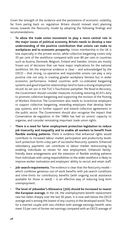Given the strength of the evidence and the persistence of economic volatility, far from paring back on regulation Britain should instead start planning moves towards the flexicurity model by adopting the following findings and recommendations:

- **To allow the trade union movement to play a more central role in the major issues of political economy, Britain needs to develop a new understanding of the positive contribution that unions can make to workplaces and to economic prosperity.** Union membership in the UK is low, especially in the private sector, while collective bargaining covers only 35 per cent of the workforce compared with over 80 per cent in countries such as Austria, Denmark, Belgium, Finland and Sweden. Unions are mostly frozen out of decisions that can have major implications for the national workforce. Yet the empirical evidence is clear – and acknowledged by the OECD – that strong, co-operative and responsible unions can play a very positive role not only in creating greater workplace fairness but in wider economic performance. Indeed countries with co-ordinated bargaining systems and good tripartite relationships tend to have a strong employment record. As set out in the TUC's Touchstone pamphlet *The Road to Recovery*, the Government should consider measures including restoring ACAS's duty to promote collective bargaining and supporting the revision of the Posting of Workers Directive. The Government also needs to incentivise employers to support collective bargaining, rewarding employers that develop fairer pay systems, and to further support and extend collective agreements in the public sector. The Government should also recognise the impact that Conservative de-regulation in the 1980s has had on unions' capacity to organise, and consider reinstating important trade union rights.
- **There is a need for fairer employment protection legislation to reduce job insecurity and inequality and to enable all workers to benefit from flexible working patterns.** There is evidence that enhanced rights would contribute to increased labour market participation and productivity levels. Such protection forms a key part of successful flexicurity systems. Enhanced redundancy payments can contribute to labour market restructuring by enabling individuals to retrain for new employment. Enhanced familyfriendly leave arrangements and the extension of flexible working patterns from individuals with caring responsibilities to the wider workforce is likely to improve worker motivation and employers' ability to recruit and retain staff.
- **Job-search requirements.** The evidence is clear that the flexicurity model which combines generous out-of-work benefits with job-search conditions and time-limits for contributory benefits (with ongoing social assistance available for those in need)  $-$  is an effective way of reducing long term unemployment.
- **The level of Jobseeker's Allowance (JSA) should be increased to nearer the European average.** In the UK, the unemployment benefit replacement rate has fallen sharply over the last 30 years. It is now well below the OECD average and is among the lowest of any country in the developed world. Thus for a married couple with two children with average earnings, benefit rates meet 53 per cent of former net earnings compared with an OECD average of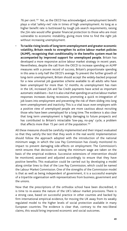76 per cent.<sup>101</sup> Yet, as the OECD has acknowledged, unemployment benefit plays a vital 'safety-net' role in times of high unemployment. As long as a higher benefit rate is buttressed by tough job-search requirements, raising the JSA rate would offer greater financial protection to those who are most vulnerable to economic instability, giving more time to find the right job without increasing unemployment.

• **To tackle rising levels of long term unemployment and greater economic volatility, Britain needs to strengthen its active labour market policies (ALMP), recognising that conditionality in the benefits system must be accompanied by improved support for unemployed people.** Britain has developed a more responsive active labour market strategy in recent years. Nevertheless, despite the call from the OECD to increase spending on ALMP measures with a proven record of success, Britain's proportionate spending in this area is only half the OECD's average. To prevent the further growth of long-term unemployment, Britain should accept the widely-backed proposal for a new universal job guarantee scheme available to all adults who have been unemployed for more than 12 months. As unemployment has risen in the UK, increased JSA and Tax Credit payments have acted as important automatic stabilisers – but it is also vital that spending on active labour market responses increases during recessions, promoting a quick re-integration of job losers into employment and preventing the risk of them sliding into long term unemployment and inactivity. This is a vital issue: even employers with a positive view of unemployed people are more cautious about recruiting those who have been unemployed for a long time. The evidence is also clear that long term unemployment is highly damaging to future prospects and has contributed to Britain's intractable 'low-pay, no-pay' cycle, a problem that affects more than 15 per cent of the population.<sup>102</sup>

All these measures should be carefully implemented and their impact evaluated so that they satisfy the test that they work in the real world. Implementation should follow the approach adopted with the introduction of the national minimum wage, in which the Low Pay Commission has closely monitored its impact to prevent damaging side-effects on employment. The Commission's remit ensures that decisions on raising the minimum wage are taken on the basis of the empirical evidence. Successive extensions of intervention should be monitored, assessed and adjusted accordingly to ensure that they have positive benefits. This evaluation could be carried out by developing a model along similar lines to that of the Low Pay Commission, which could be named the Labour Market Commission. One of the strengths of the Commission model is that as well as being independent of government, it is a successful example of a tripartite organisation with representatives from business, government and the unions.

Now that the prescriptions of the orthodox school have been discredited, it is time to re-assess the nature of the UK's labour market provisions. There is a strong case, based on successful practice in other counties and backed by firm international empirical evidence, for moving the UK away from its weakly regulated model to the higher levels of social protection available in many European countries. The evidence is clear that, contrary to the neo-liberal claims, this would bring improved economic and social outcomes.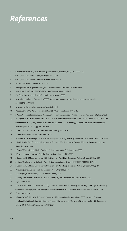# *References*

- Claimant count figures, www.statistics.gov.uk/StatBase/expodata/files/8547093331.csv
- OECD, *Jobs Study: Facts, analysis, strategies*, Paris, 1994
- OECD, *Jobs Study: Evidence and explanations*, 1994, pp43-8
- IMF, *World Economic Outlook*, 2003, p 129
- 5 www.guardian.co.uk/politics/2010/jan/27/conservatives-local-councils-benefits-jobs
- www.ft.com/cms/s/0/bc788742-d573-11de-81ee-00144feabdc0.html
- CBI, 'Tough Pay Restraint Ahead', *Press Release*, November, 2009
- www.mirror.co.uk/news/top-stories/2008/10/05/david-cameron-would-allow-minimum-wages-to-dieout-115875-20775693/
- www.iea.org.uk/record.jsp?type=pressArticle&ID=413
- D Coates, *Who's Afraid of Labour Market Flexibility?*, Work Foundation, 2006, p 10
- S Keen, *Debunking Economics*, Zed Books, 2001; H Minsky, *Stabilising an Unstable Economy*, Yale University Press, 1986
- It is a position most closely associated in the UK with Professor Alan Manning of the London School of Economics who uses the term 'monopsony theory' to describe the approach. See A Manning, 'A Generalised Theory of Monopsony', *Economic Journal*, Vol 116, pp 84-100, 2006
- A Hirschman, *Exit, Voice and Loyalty*, Harvard University Press, 1970
- S Keen, *Debunking Economics*, Zed Books, 2001
- W Fellner, 'Prices and Wages Under Bilateral Monopoly', *Quarterly Journal of Economics*, Vol 61, No 4, 1947, pp 503-532
- P Sraffa, *Production of Commodities by Means of Commodities, Prelude to a Critique of Political Economy*, Cambridge University Press, 1960
- R Solow, 'What Is Labour Marker Flexibility?', *Proceedings of the British Academy*, 1998
- BIS, *New Industries, New Jobs*, Dept for Business, Inovation and Skills, 2009
- S Deakin and G S Morris, *Labour Law*, Fifth Edition, Hart Publishing, Oxford and Portland, Oregan 2009, p 689
- S Milner, 'The Coverage of Collective Pay—Setting Institutions in Britain 1895-1990', (1995) 33 BJIR 69
- S Deakin and G S Morris, *Labour Law*, Fifth Edition, Hart Publishing, Oxford and Portland, Oregan 2009, p 27
- D Kavanagh and A Seldon (eds), *The Thatcher Effect*, OUP, 1989, p 69
- S Lansley, *Unfair to Middling*, TUC Touchstone Report, 2009
- R Taylor, 'Employment Relations Policy' in A Seldon (Ed), *The Blair Effect*, Little Brown, 2001, p 252
- Taylor, op cit p 253
- M Sharkh, 'Are There Optimal Global Configurations of Labour Market Flexibility and Security? Tackling the "Flexicurity" Oxymoron', *ILO Employment Sector Employment Working Paper No 15*, Geneva: International Labour Office, 2008.
- 27 Coates op cit, p 10
- A Turner, 'What's Wrong With Europe's Economy', CEP Queen's Prize lecture, mimeo, 2003; see also R Schettkat, 'Is Labour Market Regulation At the Root of European Unemployment? The case of Germany and the Netherlands' in D Howell (ed) *Fighting Unemployment*, OUP, 2005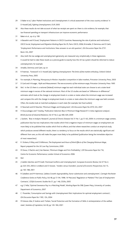- 29 D Baker et al, 'Labor Market Institutions and Unemployment: A critical assessment of the cross country evidence' in D Howell (ed), *Fighting Unemployment*, OUP, 2005
- 30 Also these results do not take account of what tax receipts are spent on: there is a lot evidence, for example, that tax-financed spending on transport infrastructure can improve economic performance
- 31 Baker et al , op cit p 108
- 32 A Basselini and R Duval, 'Employment Patterns in OECD Countries: Reassessing the role of policies and institutions', *OECD Social, Employment and Migration Working Paper No 3*5, Paris: OECD, 2006; B Amable, D Demmou and D Gatti, 'Employment Performance and Institutions: New answers to an old question', *IZA Discussion Paper No 2731*. Bonn: IZA, 2007
- 33 Also, both the tax wedge and unemployment generosity are measured very simplistically in these regressions. It would be hard to take these results as a precise guide to exactly how the UK tax system should be reformed to reduce unemployment, for example
- 34 Amable, Demmou and Gatti, op cit
- 35 R Freeman, 'Foreword' in D. Howell (ed), *Fighting Unemployment: The limits of free market orthodoxy*, Oxford: Oxford University Press, 2005
- 36 For example, A Manning, *Monopsony In Motion: Imperfect competition in labor markets*, Princeton University Press, 2003
- 37 D Card and A Krueger, *Myth and Measurement: The new economics of the minimum wage*, Princeton University Press 1995
- 38 Ibid. In the US there is a national (federal) minimum wage but each individual state can choose to set a state-level minimum wage in excess of the national minimum. Most of the US studies are based on "difference-in-differences" estimates which look at the change in employment levels in a state or states where the minimum wage was increased and compare this with the change in employment levels in a state or state where the minimum wage was held constant. Often, the studies look at matched workplaces in each state (for example, fast food outlets)
- 39 D Neumark and W Wascher, 'Minimum Wages and Employment', *IZA Discussion Paper No 2570*, IZA, 2007
- 40 H Doucouliagos and T Stanley, 'Publication Selection Bias In Minimum Wage Research? A meta-regression analysis', *British Journal of Industrial Relations*, Vol 47 No 2, pp 406-429, 2009
- 41 J Sackett, 'Bias in Analytic Research', *Journal of Chronic Diseases* Vol 31 No 1, pp 51-63, 2009. In a minimum wage context, publication bias has two implications: that studies which find a negative impact of minimum wages on employment are more likely to be published that studies which find no effects; and that where researchers conduct an empirical study which produces several different results, there is a tendency to focus on the results which are statistically significant and different from zero, as this will make the paper more likely to be published (publication being the immediate objective of most researchers)
- 42 R Dickens, R Riley and D Wilkinson, *The Employment and Hours of Work Effects of the Changing Minimum Wage*, Report prepared for the UK Low Pay Commission, 2009
- 43 M Draca, S Machin and J Van Reenen, 'Minimum Wages and Firm Profitability', *CEP Discussion Paper No 716*, Centre for Economic Performance, London School of Economics 2006
- 44 Ibid
- 45 J Galdón-Sánchez and M Güell, 'Dismissal Conflicts and Unemployment', *European Economic Review*, Vol 47 No 2, pp 323-335, 2003; A Lindbeck and D Snower, 'Insiders versus Outsiders', *Journal of Economic Perspectives*, Vol 15, pp 165-188, 2001
- 46 R Caballero and M Hammour, 'Jobless Growth: Appropriability, factor substitution and unemployment', *Carnegie-Rochester Conference Series on Public Policy*, Vol 48, pp 51-94, 1998; W MacLeod, 'Regulation or Markets? The Case of Employment Contracts', *CESifo Economic Studies No 51*, pp 1-46, CESifo, 2005
- 47 e.g. G Fella, 'Optimal Severance Pay in a Matching Model', *Working Paper No 598*, Queen Mary, University of London, Department of Economics, 2007
- 48 C Pissarides, 'Consumption and Savings with Unemployment Risk: Implications for optimal employment contracts', *IZA Discussion Paper No 1183*, IZA, 2004
- 49 M Estevez-Abe, D Soskice and I Torben, 'Social Protection and the Formation of Skills: A reinterpretation of the welfare state', *Varieties of Capitalism*, Vol 40, pp 145-184, 2001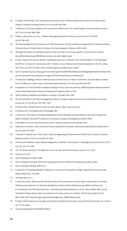- 50 M Gangl, 'The Only Way is Up? Employment protection and job mobility among recent entrants to European labour markets', *European Sociological Review*, Vol 19, pp 429-449, 2003
- 51 I Marinescu, 'Job Security Legislation and Job Duration: Evidence from the United Kingdom', *Journal of Labor Economics*, Vol 27 No 3, pp 465-486, 2009
- 52 M Belot, J Boone and J van Ours, 'Welfare-Improving Employment Protection', *Economica*, Vol 74 No 295, pp 381-396, 2007
- 53 HM Treasury/Department for Education and Skills/Department for Work and Pensions/Department for Trade and Industry, *Choice for Parents, The Best Start for Children: A Ten Year Strategy for Childcare*, HMSO, 2004
- 54 Although the evidence for substantial impacts of the tax burden on economic growth is minimal. See for instance www.leftfootforward.org/2009/09/uk-economy-can-aborb-higher-taxes/
- 55 G Paull, J Taylor and A Duncan, 'Mothers' Employment and Use of Childcare in the United Kingdom', *IFS Working Paper No WP01/2*, Institute for Fiscal Studies, 2001; T Viitanen, 'Cost of Childcare and Female Employment in the UK', Labour, Vol 19 No 1, pp 149-170, 2005. There is similar supportive evidence from Canada
- 56 See for example http://jec.senate.gov/archive/Hearings/03.06.08%20Paid%20Leave/Waldfogel%20statement%203-6-08. pdf and www.enfant-encyclopedie.com/pages/PDF/KamermanANGxp\_rev-Parental.pdf
- 57 S Tanaka and J Waldfogel, 'Effects of Parental Leave and Work Hours on Fathers' Involvement with their Babies: Evidence from the Millennium Cohort Study', *Community, Work and Family*, Vol 10 No 4, pp 409-426, 2007
- 58 B Hayward et al, 'The Third Work-Life Balance Employer Survey: Executive summary', *BERR Employment Relations Research Series No 86*, Department for Business, Enterprise and regulatory Reform, 2007
- 59 Milton Friedman, *Capitalism and Freedom*, University of Chicago Press, 1962
- 60 This was formalised in the 'efficient bargaining' model of A Oswald, 'Happiness and Economic Performance', *Economic Journal*, Vol 107 No 445, pp 1815-1831, 1997
- 61 R Freeman and J Medoff, *What Do Unions Do?*, Basic Books, 1984; Hirschman op cit
- 62 N Millward et al, *All Change at Work?* Routledge, 2001
- 63 S Moore et al, 'The Impact of Employee Representation upon Workplace Industrial Relations Outcomes', *Employment Relations Research Series No 8*7, Department for Business, Enterprise and Regulatory Reform, 2008
- 64 D Metcalfe et al, 'Unions and the Sword of Justice', *National Institute Economic Review*, 2001
- 65 J Budd and K Mumford, 'Trade Unions and Family-Friendly Polices in Britain', *Industrial and Labor Relations Review*, Vol 57 No 2, pp 204-222, 2004
- 66 T Aidt and Z Tzanattos Aidt, 'Trade Unions, Collective Bargaining and Macroeconomic Performance: A review', *Industrial Relations Journal*, Vol 39 No 4, pp 509-533, 2003
- 67 J Michie and M Sheehan, 'Labour Market Deregulation, "Flexibility" and Innovation', *Cambridge Journal of Economics*, Vol 27 No 3, pp 123-143, 2003
- 68 TUC *The Road to Recovery: How effective unions can help rebuild the economy*, London: TUC, 2010
- 69 Coates op cit, p 30
- 70 OECD, *Employment Outlook*, 2006
- 71 OECD *Employment Outlook*, 2004; OECD, *Employment Outlook*, 2006; OECD, *Employment Outlook*, 2009
- 72 See, for example, Manning, 2006, op cit
- 73 E Rayner et al, 'Evaluating Jobseeker's Allowance: A Summary of the Research Findings', *Department of Social Security, Research Report No. 116*, 2000
- 74 Manning, 2006, op cit
- 75 L Jacobi and J Kluve, 'Before and After the Hartz Reforms: The performance of active labour market policy in Germany', *RWLI Discussion Papers No 41*, Rheinisch-Westfälisches Institut für Wirtschaftsforschung, 2008; W Eichhorst and K Zimmermann, 'And Then There Were Four... How Many (and Which) Measures of Active Labour Market Policy Do We Still Need? Finding a balance after the evaluation of the Hartz reforms in Germany', *DIW Discussion Paper No 635*, Berlin: DIW, 2007; http://www.gpn.org/media/other/germany\_20080128/posen.pdf
- 76 R Chetty, 'Moral Hazard versus Liquidity and Optimal Unemployment Insurance', *Journal of Political Economy*, Vol 116 No 2, pp 173-234, 2008
- 77 www.oecd.org/dataoecd/52/8/42625548.xls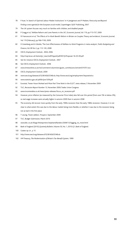- P Auer, 'In Search of Optimal Labour Market Institutions' in H Joergenson and P Madsen, *Flexicurity and Beyond: Finding a new agenda for the European social model*, Copenhagen: DJOF Publishing, 2007
- The UK system focuses very much on families with children, and disabled people
- P Gregg et al, 'Welfare Reform and Lone Parents in the UK', *Economic Journal*, Vol 119, pp F15-F37, 2009
- M Francesconi et al, 'The Effects of In-Work Benefit Reform in Britain on Couples: Theory and evidence', *Economic Journal*, Vol 119 (February), pp F66-F100, 2009
- D Greenberg and A Cebulla, 'The Cost-Effectiveness of Welfare-to-Work Programs: A meta-analysis', *Public Budgeting and Finance*, Vol 28 No 2, pp 112-145, 2008
- OECD, *Employment Outlook*, 2004, 2006
- http://cep.lse.ac.uk/textonly/\_new/staff/layard/pdf/001JGProposal-16-03-09.pdf
- See for instance OECD, *Employment Outlook*, 2007
- See OECD, *Employment Outlook*, 2006
- www.timesonline.co.uk/tol/comment/columnists/guest\_contributors/article4374701.ece
- OECD, *Employment Outlook*, 2009
- www.oecd.org/dataoecd/52/8/42625548.xls; http://www.oecd.org/employment/keystatistics
- www.statistics.gov.uk/pdfdir/pse1209.pdf
- Eurostat, 'Fewer Hours Worked and More Part Time Work in the EU27', news release, 5 November 2009
- TUC, *Recession Report Number 13*, November 2009, Trades Union Congress
- www.incomesdata.co.uk/news/press-releases/focus\_on\_recession.pdf
- However, price inflation (as measured by the Consumer Price Index) also fell over this period (from over 5% to below 2%), so real wage increases were actually higher in autumn 2009 than in autumn 2008
- The economy did recover more quickly from the early 1990s recession than the early 1980s recession. However, it is not clear to what extent this was due to the labour market being more flexible, or whether it was due to the recession being not as bad in the first place
- T Leunig, 'Fewer Jobless', *Prospect*, September 2009
- TUC, Budget Submission, March 2010
- www.bbc.co.uk/blogs/thereporters/stephanieflanders/2009/12/lagging\_no\_more.html
- Bank of England (2010) *Quarterly Bulletin*, Volume 50, No. 1, 2010 Q1, Bank of England.
- Coates op cit , p 15
- http://www.oecd.org/dataoecd/52/8/42625548.xls
- HM Treasury, *The Modernisation of Britain's Tax-Benefit System*, 1999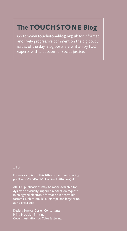# **The** Touchstone **Blog**

Go to **www.touchstoneblog.org.uk** for informed and lively progressive comment on the big policy issues of the day. Blog posts are written by TUC experts with a passion for social justice.

### **£10**

For more copies of this title contact our ordering point on 020 7467 1294 or smills@tuc.org.uk

All TUC publications may be made available for dyslexic or visually impaired readers, on request, in an agreed electronic format or in accessible formats such as Braille, audiotape and large print, at no extra cost.

Design: Eureka! Design Consultants Print: Precision Printing Cover illustration: Lo Cole/Eastwing